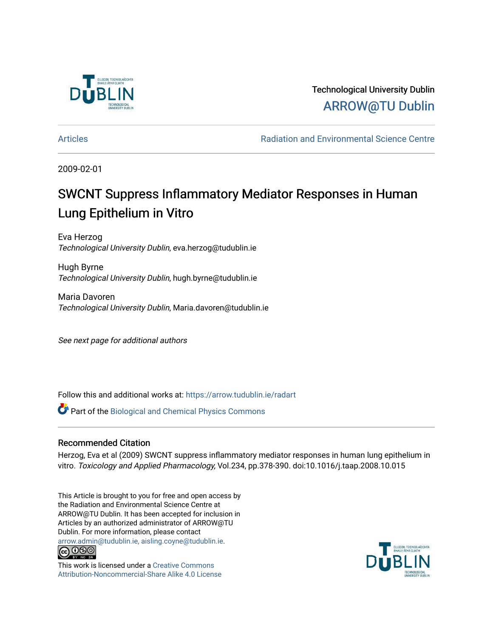

Technological University Dublin [ARROW@TU Dublin](https://arrow.tudublin.ie/) 

[Articles](https://arrow.tudublin.ie/radart) [Radiation and Environmental Science Centre](https://arrow.tudublin.ie/rad) 

2009-02-01

# SWCNT Suppress Inflammatory Mediator Responses in Human Lung Epithelium in Vitro

Eva Herzog Technological University Dublin, eva.herzog@tudublin.ie

Hugh Byrne Technological University Dublin, hugh.byrne@tudublin.ie

Maria Davoren Technological University Dublin, Maria.davoren@tudublin.ie

See next page for additional authors

Follow this and additional works at: [https://arrow.tudublin.ie/radart](https://arrow.tudublin.ie/radart?utm_source=arrow.tudublin.ie%2Fradart%2F8&utm_medium=PDF&utm_campaign=PDFCoverPages) 

Part of the [Biological and Chemical Physics Commons](http://network.bepress.com/hgg/discipline/196?utm_source=arrow.tudublin.ie%2Fradart%2F8&utm_medium=PDF&utm_campaign=PDFCoverPages) 

# Recommended Citation

Herzog, Eva et al (2009) SWCNT suppress inflammatory mediator responses in human lung epithelium in vitro. Toxicology and Applied Pharmacology, Vol.234, pp.378-390. doi:10.1016/j.taap.2008.10.015

This Article is brought to you for free and open access by the Radiation and Environmental Science Centre at ARROW@TU Dublin. It has been accepted for inclusion in Articles by an authorized administrator of ARROW@TU Dublin. For more information, please contact [arrow.admin@tudublin.ie, aisling.coyne@tudublin.ie](mailto:arrow.admin@tudublin.ie,%20aisling.coyne@tudublin.ie).



This work is licensed under a [Creative Commons](http://creativecommons.org/licenses/by-nc-sa/4.0/) [Attribution-Noncommercial-Share Alike 4.0 License](http://creativecommons.org/licenses/by-nc-sa/4.0/)

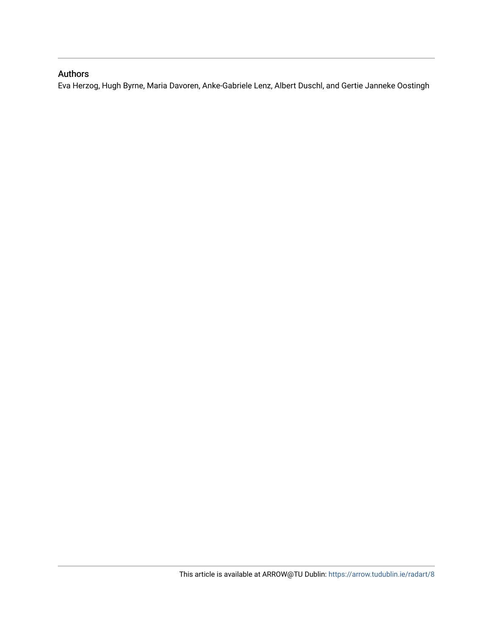# Authors

Eva Herzog, Hugh Byrne, Maria Davoren, Anke-Gabriele Lenz, Albert Duschl, and Gertie Janneke Oostingh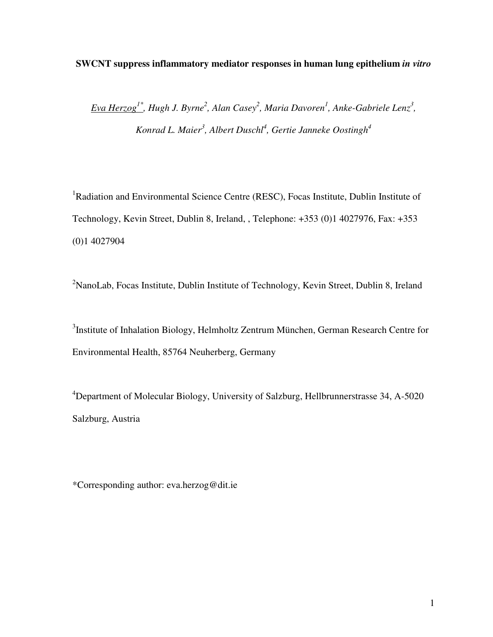# **SWCNT suppress inflammatory mediator responses in human lung epithelium** *in vitro*

*Eva Herzog1\*, Hugh J. Byrne<sup>2</sup> , Alan Casey<sup>2</sup> , Maria Davoren<sup>1</sup> , Anke-Gabriele Lenz<sup>3</sup> , Konrad L. Maier<sup>3</sup> , Albert Duschl<sup>4</sup> , Gertie Janneke Oostingh<sup>4</sup>*

<sup>1</sup>Radiation and Environmental Science Centre (RESC), Focas Institute, Dublin Institute of Technology, Kevin Street, Dublin 8, Ireland, , Telephone: +353 (0)1 4027976, Fax: +353 (0)1 4027904

<sup>2</sup>NanoLab, Focas Institute, Dublin Institute of Technology, Kevin Street, Dublin 8, Ireland

<sup>3</sup>Institute of Inhalation Biology, Helmholtz Zentrum München, German Research Centre for Environmental Health, 85764 Neuherberg, Germany

<sup>4</sup>Department of Molecular Biology, University of Salzburg, Hellbrunnerstrasse 34, A-5020 Salzburg, Austria

\*Corresponding author: eva.herzog@dit.ie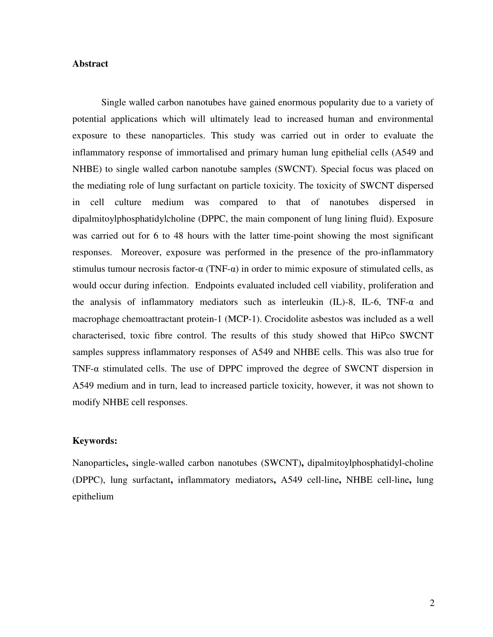#### **Abstract**

 Single walled carbon nanotubes have gained enormous popularity due to a variety of potential applications which will ultimately lead to increased human and environmental exposure to these nanoparticles. This study was carried out in order to evaluate the inflammatory response of immortalised and primary human lung epithelial cells (A549 and NHBE) to single walled carbon nanotube samples (SWCNT). Special focus was placed on the mediating role of lung surfactant on particle toxicity. The toxicity of SWCNT dispersed in cell culture medium was compared to that of nanotubes dispersed in dipalmitoylphosphatidylcholine (DPPC, the main component of lung lining fluid). Exposure was carried out for 6 to 48 hours with the latter time-point showing the most significant responses. Moreover, exposure was performed in the presence of the pro-inflammatory stimulus tumour necrosis factor- $\alpha$  (TNF- $\alpha$ ) in order to mimic exposure of stimulated cells, as would occur during infection. Endpoints evaluated included cell viability, proliferation and the analysis of inflammatory mediators such as interleukin (IL)-8, IL-6, TNF- $\alpha$  and macrophage chemoattractant protein-1 (MCP-1). Crocidolite asbestos was included as a well characterised, toxic fibre control. The results of this study showed that HiPco SWCNT samples suppress inflammatory responses of A549 and NHBE cells. This was also true for TNF- $\alpha$  stimulated cells. The use of DPPC improved the degree of SWCNT dispersion in A549 medium and in turn, lead to increased particle toxicity, however, it was not shown to modify NHBE cell responses.

#### **Keywords:**

Nanoparticles**,** single-walled carbon nanotubes (SWCNT)**,** dipalmitoylphosphatidyl-choline (DPPC), lung surfactant**,** inflammatory mediators**,** A549 cell-line**,** NHBE cell-line**,** lung epithelium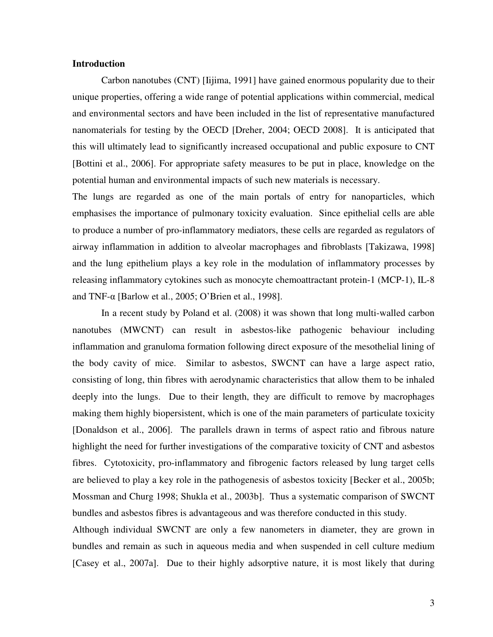#### **Introduction**

Carbon nanotubes (CNT) [Iijima, 1991] have gained enormous popularity due to their unique properties, offering a wide range of potential applications within commercial, medical and environmental sectors and have been included in the list of representative manufactured nanomaterials for testing by the OECD [Dreher, 2004; OECD 2008]. It is anticipated that this will ultimately lead to significantly increased occupational and public exposure to CNT [Bottini et al., 2006]. For appropriate safety measures to be put in place, knowledge on the potential human and environmental impacts of such new materials is necessary.

The lungs are regarded as one of the main portals of entry for nanoparticles, which emphasises the importance of pulmonary toxicity evaluation. Since epithelial cells are able to produce a number of pro-inflammatory mediators, these cells are regarded as regulators of airway inflammation in addition to alveolar macrophages and fibroblasts [Takizawa, 1998] and the lung epithelium plays a key role in the modulation of inflammatory processes by releasing inflammatory cytokines such as monocyte chemoattractant protein-1 (MCP-1), IL-8 and TNF-α [Barlow et al., 2005; O'Brien et al., 1998].

In a recent study by Poland et al. (2008) it was shown that long multi-walled carbon nanotubes (MWCNT) can result in asbestos-like pathogenic behaviour including inflammation and granuloma formation following direct exposure of the mesothelial lining of the body cavity of mice. Similar to asbestos, SWCNT can have a large aspect ratio, consisting of long, thin fibres with aerodynamic characteristics that allow them to be inhaled deeply into the lungs. Due to their length, they are difficult to remove by macrophages making them highly biopersistent, which is one of the main parameters of particulate toxicity [Donaldson et al., 2006]. The parallels drawn in terms of aspect ratio and fibrous nature highlight the need for further investigations of the comparative toxicity of CNT and asbestos fibres. Cytotoxicity, pro-inflammatory and fibrogenic factors released by lung target cells are believed to play a key role in the pathogenesis of asbestos toxicity [Becker et al., 2005b; Mossman and Churg 1998; Shukla et al., 2003b]. Thus a systematic comparison of SWCNT bundles and asbestos fibres is advantageous and was therefore conducted in this study.

Although individual SWCNT are only a few nanometers in diameter, they are grown in bundles and remain as such in aqueous media and when suspended in cell culture medium [Casey et al., 2007a]. Due to their highly adsorptive nature, it is most likely that during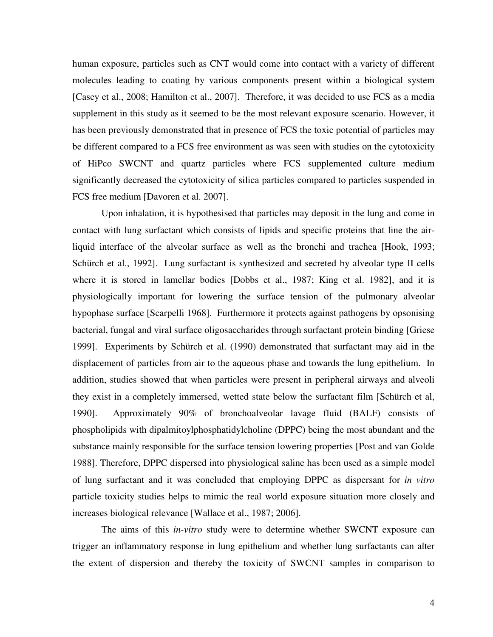human exposure, particles such as CNT would come into contact with a variety of different molecules leading to coating by various components present within a biological system [Casey et al., 2008; Hamilton et al., 2007]. Therefore, it was decided to use FCS as a media supplement in this study as it seemed to be the most relevant exposure scenario. However, it has been previously demonstrated that in presence of FCS the toxic potential of particles may be different compared to a FCS free environment as was seen with studies on the cytotoxicity of HiPco SWCNT and quartz particles where FCS supplemented culture medium significantly decreased the cytotoxicity of silica particles compared to particles suspended in FCS free medium [Davoren et al. 2007].

Upon inhalation, it is hypothesised that particles may deposit in the lung and come in contact with lung surfactant which consists of lipids and specific proteins that line the airliquid interface of the alveolar surface as well as the bronchi and trachea [Hook, 1993; Schürch et al., 1992]. Lung surfactant is synthesized and secreted by alveolar type II cells where it is stored in lamellar bodies [Dobbs et al., 1987; King et al. 1982], and it is physiologically important for lowering the surface tension of the pulmonary alveolar hypophase surface [Scarpelli 1968]. Furthermore it protects against pathogens by opsonising bacterial, fungal and viral surface oligosaccharides through surfactant protein binding [Griese 1999]. Experiments by Schürch et al. (1990) demonstrated that surfactant may aid in the displacement of particles from air to the aqueous phase and towards the lung epithelium. In addition, studies showed that when particles were present in peripheral airways and alveoli they exist in a completely immersed, wetted state below the surfactant film [Schürch et al, 1990]. Approximately 90% of bronchoalveolar lavage fluid (BALF) consists of phospholipids with dipalmitoylphosphatidylcholine (DPPC) being the most abundant and the substance mainly responsible for the surface tension lowering properties [Post and van Golde 1988]. Therefore, DPPC dispersed into physiological saline has been used as a simple model of lung surfactant and it was concluded that employing DPPC as dispersant for *in vitro* particle toxicity studies helps to mimic the real world exposure situation more closely and increases biological relevance [Wallace et al., 1987; 2006].

The aims of this *in-vitro* study were to determine whether SWCNT exposure can trigger an inflammatory response in lung epithelium and whether lung surfactants can alter the extent of dispersion and thereby the toxicity of SWCNT samples in comparison to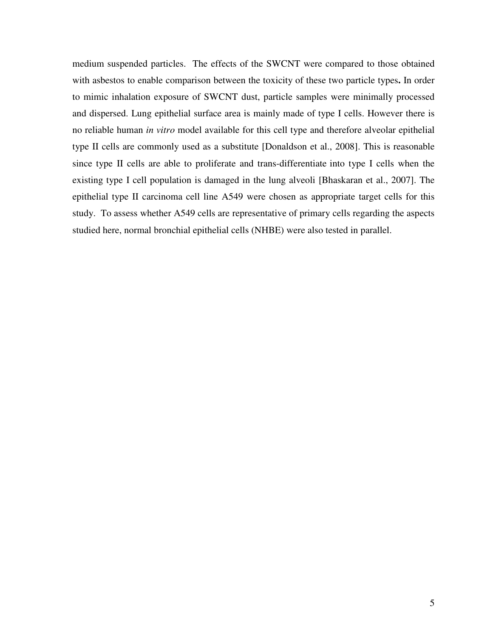medium suspended particles. The effects of the SWCNT were compared to those obtained with asbestos to enable comparison between the toxicity of these two particle types**.** In order to mimic inhalation exposure of SWCNT dust, particle samples were minimally processed and dispersed. Lung epithelial surface area is mainly made of type I cells. However there is no reliable human *in vitro* model available for this cell type and therefore alveolar epithelial type II cells are commonly used as a substitute [Donaldson et al., 2008]. This is reasonable since type II cells are able to proliferate and trans-differentiate into type I cells when the existing type I cell population is damaged in the lung alveoli [Bhaskaran et al., 2007]. The epithelial type II carcinoma cell line A549 were chosen as appropriate target cells for this study. To assess whether A549 cells are representative of primary cells regarding the aspects studied here, normal bronchial epithelial cells (NHBE) were also tested in parallel.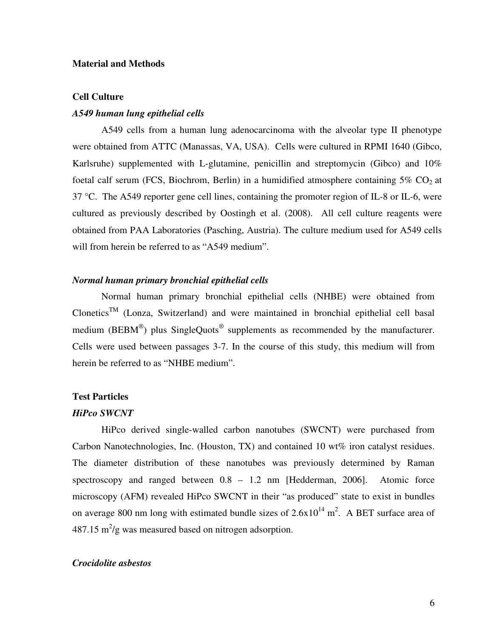#### **Material and Methods**

#### **Cell Culture**

#### *A549 human lung epithelial cells*

A549 cells from a human lung adenocarcinoma with the alveolar type II phenotype were obtained from ATTC (Manassas, VA, USA). Cells were cultured in RPMI 1640 (Gibco, Karlsruhe) supplemented with L-glutamine, penicillin and streptomycin (Gibco) and 10% foetal calf serum (FCS, Biochrom, Berlin) in a humidified atmosphere containing  $5\%$  CO<sub>2</sub> at 37 °C. The A549 reporter gene cell lines, containing the promoter region of IL-8 or IL-6, were cultured as previously described by Oostingh et al. (2008). All cell culture reagents were obtained from PAA Laboratories (Pasching, Austria). The culture medium used for A549 cells will from herein be referred to as "A549 medium".

#### *Normal human primary bronchial epithelial cells*

Normal human primary bronchial epithelial cells (NHBE) were obtained from  $\text{Clonetics}^{\text{TM}}$  (Lonza, Switzerland) and were maintained in bronchial epithelial cell basal medium (BEBM®) plus SingleQuots<sup>®</sup> supplements as recommended by the manufacturer. Cells were used between passages 3-7. In the course of this study, this medium will from herein be referred to as "NHBE medium".

#### **Test Particles**

#### *HiPco SWCNT*

HiPco derived single-walled carbon nanotubes (SWCNT) were purchased from Carbon Nanotechnologies, Inc. (Houston, TX) and contained 10 wt% iron catalyst residues. The diameter distribution of these nanotubes was previously determined by Raman spectroscopy and ranged between 0.8 – 1.2 nm [Hedderman, 2006]. Atomic force microscopy (AFM) revealed HiPco SWCNT in their "as produced" state to exist in bundles on average 800 nm long with estimated bundle sizes of  $2.6x10^{14}$  m<sup>2</sup>. A BET surface area of  $487.15 \text{ m}^2/\text{g}$  was measured based on nitrogen adsorption.

#### *Crocidolite asbestos*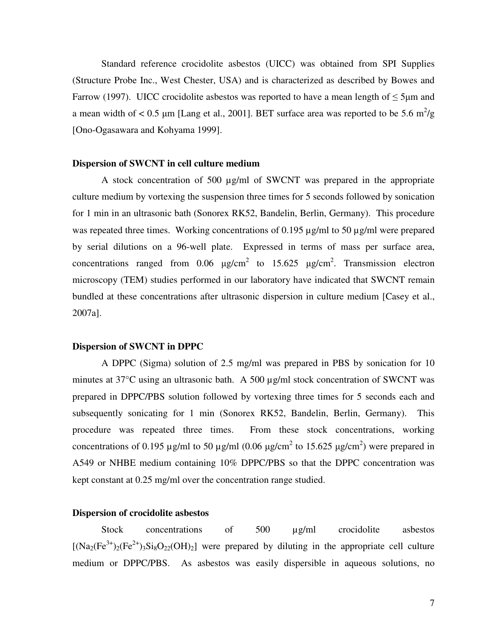Standard reference crocidolite asbestos (UICC) was obtained from SPI Supplies (Structure Probe Inc., West Chester, USA) and is characterized as described by Bowes and Farrow (1997). UICC crocidolite asbestos was reported to have a mean length of  $\leq$  5µm and a mean width of < 0.5  $\mu$ m [Lang et al., 2001]. BET surface area was reported to be 5.6 m<sup>2</sup>/g [Ono-Ogasawara and Kohyama 1999].

#### **Dispersion of SWCNT in cell culture medium**

 A stock concentration of 500 µg/ml of SWCNT was prepared in the appropriate culture medium by vortexing the suspension three times for 5 seconds followed by sonication for 1 min in an ultrasonic bath (Sonorex RK52, Bandelin, Berlin, Germany). This procedure was repeated three times. Working concentrations of 0.195  $\mu$ g/ml to 50  $\mu$ g/ml were prepared by serial dilutions on a 96-well plate. Expressed in terms of mass per surface area, concentrations ranged from 0.06  $\mu$ g/cm<sup>2</sup> to 15.625  $\mu$ g/cm<sup>2</sup>. Transmission electron microscopy (TEM) studies performed in our laboratory have indicated that SWCNT remain bundled at these concentrations after ultrasonic dispersion in culture medium [Casey et al., 2007a].

#### **Dispersion of SWCNT in DPPC**

A DPPC (Sigma) solution of 2.5 mg/ml was prepared in PBS by sonication for 10 minutes at 37<sup>o</sup>C using an ultrasonic bath. A 500 µg/ml stock concentration of SWCNT was prepared in DPPC/PBS solution followed by vortexing three times for 5 seconds each and subsequently sonicating for 1 min (Sonorex RK52, Bandelin, Berlin, Germany). This procedure was repeated three times. From these stock concentrations, working concentrations of 0.195  $\mu$ g/ml to 50  $\mu$ g/ml (0.06  $\mu$ g/cm<sup>2</sup> to 15.625  $\mu$ g/cm<sup>2</sup>) were prepared in A549 or NHBE medium containing 10% DPPC/PBS so that the DPPC concentration was kept constant at 0.25 mg/ml over the concentration range studied.

#### **Dispersion of crocidolite asbestos**

Stock concentrations of 500 µg/ml crocidolite asbestos  $[(Na_2(Fe^{3+})_2(Fe^{2+})_3Si_8O_{22}(OH)_2]$  were prepared by diluting in the appropriate cell culture medium or DPPC/PBS. As asbestos was easily dispersible in aqueous solutions, no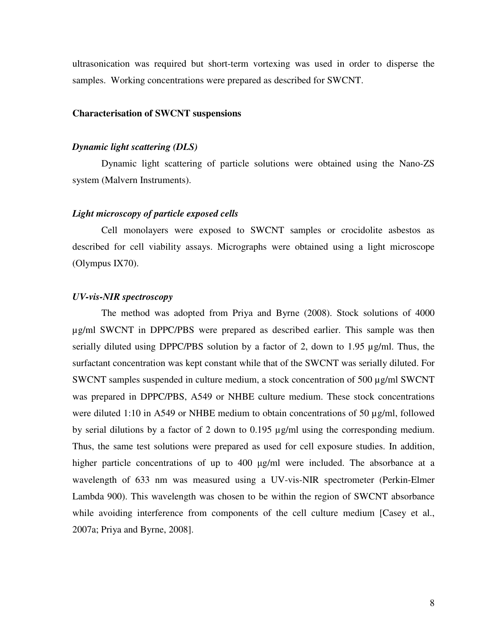ultrasonication was required but short-term vortexing was used in order to disperse the samples. Working concentrations were prepared as described for SWCNT.

#### **Characterisation of SWCNT suspensions**

#### *Dynamic light scattering (DLS)*

Dynamic light scattering of particle solutions were obtained using the Nano-ZS system (Malvern Instruments).

#### *Light microscopy of particle exposed cells*

Cell monolayers were exposed to SWCNT samples or crocidolite asbestos as described for cell viability assays. Micrographs were obtained using a light microscope (Olympus IX70).

#### *UV-vis-NIR spectroscopy*

The method was adopted from Priya and Byrne (2008). Stock solutions of 4000 µg/ml SWCNT in DPPC/PBS were prepared as described earlier. This sample was then serially diluted using DPPC/PBS solution by a factor of 2, down to 1.95 µg/ml. Thus, the surfactant concentration was kept constant while that of the SWCNT was serially diluted. For SWCNT samples suspended in culture medium, a stock concentration of 500 µg/ml SWCNT was prepared in DPPC/PBS, A549 or NHBE culture medium. These stock concentrations were diluted 1:10 in A549 or NHBE medium to obtain concentrations of 50 µg/ml, followed by serial dilutions by a factor of 2 down to 0.195 µg/ml using the corresponding medium. Thus, the same test solutions were prepared as used for cell exposure studies. In addition, higher particle concentrations of up to 400 µg/ml were included. The absorbance at a wavelength of 633 nm was measured using a UV-vis-NIR spectrometer (Perkin-Elmer Lambda 900). This wavelength was chosen to be within the region of SWCNT absorbance while avoiding interference from components of the cell culture medium [Casey et al., 2007a; Priya and Byrne, 2008].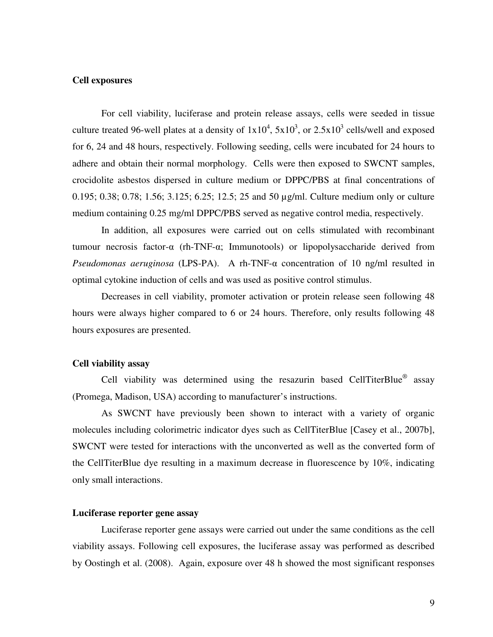#### **Cell exposures**

For cell viability, luciferase and protein release assays, cells were seeded in tissue culture treated 96-well plates at a density of  $1x10^4$ ,  $5x10^3$ , or  $2.5x10^3$  cells/well and exposed for 6, 24 and 48 hours, respectively. Following seeding, cells were incubated for 24 hours to adhere and obtain their normal morphology. Cells were then exposed to SWCNT samples, crocidolite asbestos dispersed in culture medium or DPPC/PBS at final concentrations of 0.195; 0.38; 0.78; 1.56; 3.125; 6.25; 12.5; 25 and 50 µg/ml. Culture medium only or culture medium containing 0.25 mg/ml DPPC/PBS served as negative control media, respectively.

In addition, all exposures were carried out on cells stimulated with recombinant tumour necrosis factor-α (rh-TNF-α; Immunotools) or lipopolysaccharide derived from *Pseudomonas aeruginosa* (LPS-PA). A rh-TNF-α concentration of 10 ng/ml resulted in optimal cytokine induction of cells and was used as positive control stimulus.

Decreases in cell viability, promoter activation or protein release seen following 48 hours were always higher compared to 6 or 24 hours. Therefore, only results following 48 hours exposures are presented.

#### **Cell viability assay**

Cell viability was determined using the resazurin based CellTiterBlue® assay (Promega, Madison, USA) according to manufacturer's instructions.

As SWCNT have previously been shown to interact with a variety of organic molecules including colorimetric indicator dyes such as CellTiterBlue [Casey et al., 2007b], SWCNT were tested for interactions with the unconverted as well as the converted form of the CellTiterBlue dye resulting in a maximum decrease in fluorescence by 10%, indicating only small interactions.

### **Luciferase reporter gene assay**

Luciferase reporter gene assays were carried out under the same conditions as the cell viability assays. Following cell exposures, the luciferase assay was performed as described by Oostingh et al. (2008). Again, exposure over 48 h showed the most significant responses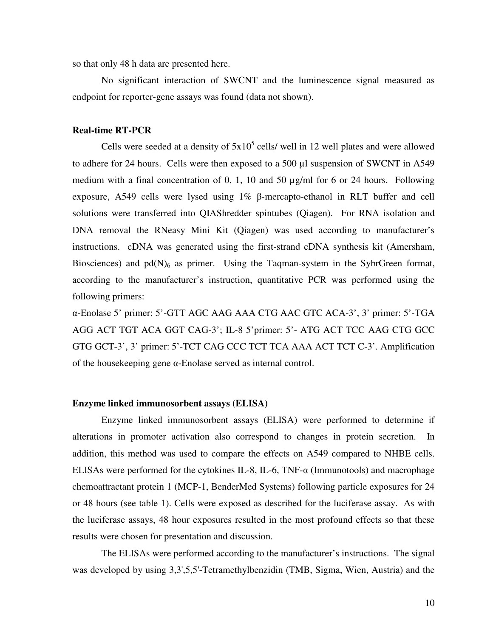so that only 48 h data are presented here.

No significant interaction of SWCNT and the luminescence signal measured as endpoint for reporter-gene assays was found (data not shown).

#### **Real-time RT-PCR**

Cells were seeded at a density of  $5x10^5$  cells/ well in 12 well plates and were allowed to adhere for 24 hours. Cells were then exposed to a 500 µl suspension of SWCNT in A549 medium with a final concentration of 0, 1, 10 and 50  $\mu$ g/ml for 6 or 24 hours. Following exposure, A549 cells were lysed using 1% β-mercapto-ethanol in RLT buffer and cell solutions were transferred into QIAShredder spintubes (Qiagen). For RNA isolation and DNA removal the RNeasy Mini Kit (Qiagen) was used according to manufacturer's instructions. cDNA was generated using the first-strand cDNA synthesis kit (Amersham, Biosciences) and  $pd(N)_6$  as primer. Using the Taqman-system in the SybrGreen format, according to the manufacturer's instruction, quantitative PCR was performed using the following primers:

α-Enolase 5' primer: 5'-GTT AGC AAG AAA CTG AAC GTC ACA-3', 3' primer: 5'-TGA AGG ACT TGT ACA GGT CAG-3'; IL-8 5'primer: 5'- ATG ACT TCC AAG CTG GCC GTG GCT-3', 3' primer: 5'-TCT CAG CCC TCT TCA AAA ACT TCT C-3'. Amplification of the housekeeping gene α-Enolase served as internal control.

#### **Enzyme linked immunosorbent assays (ELISA)**

Enzyme linked immunosorbent assays (ELISA) were performed to determine if alterations in promoter activation also correspond to changes in protein secretion. In addition, this method was used to compare the effects on A549 compared to NHBE cells. ELISAs were performed for the cytokines IL-8, IL-6, TNF- $\alpha$  (Immunotools) and macrophage chemoattractant protein 1 (MCP-1, BenderMed Systems) following particle exposures for 24 or 48 hours (see table 1). Cells were exposed as described for the luciferase assay. As with the luciferase assays, 48 hour exposures resulted in the most profound effects so that these results were chosen for presentation and discussion.

The ELISAs were performed according to the manufacturer's instructions. The signal was developed by using 3,3',5,5'-Tetramethylbenzidin (TMB, Sigma, Wien, Austria) and the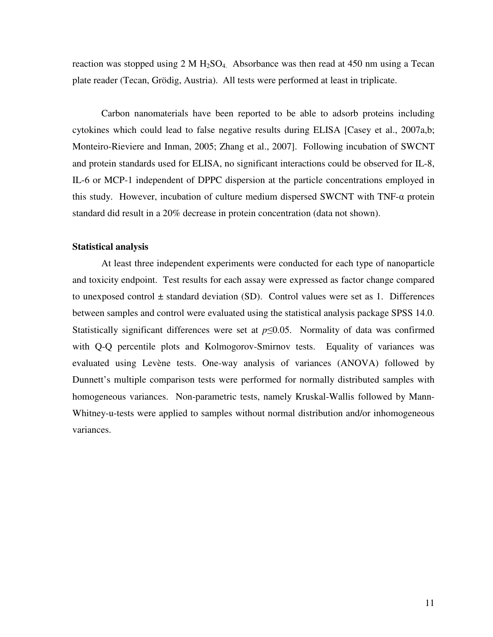reaction was stopped using  $2 \text{ M H}_2\text{SO}_4$ . Absorbance was then read at 450 nm using a Tecan plate reader (Tecan, Grödig, Austria). All tests were performed at least in triplicate.

Carbon nanomaterials have been reported to be able to adsorb proteins including cytokines which could lead to false negative results during ELISA [Casey et al., 2007a,b; Monteiro-Rieviere and Inman, 2005; Zhang et al., 2007]. Following incubation of SWCNT and protein standards used for ELISA, no significant interactions could be observed for IL-8, IL-6 or MCP-1 independent of DPPC dispersion at the particle concentrations employed in this study. However, incubation of culture medium dispersed SWCNT with TNF-α protein standard did result in a 20% decrease in protein concentration (data not shown).

#### **Statistical analysis**

At least three independent experiments were conducted for each type of nanoparticle and toxicity endpoint. Test results for each assay were expressed as factor change compared to unexposed control  $\pm$  standard deviation (SD). Control values were set as 1. Differences between samples and control were evaluated using the statistical analysis package SPSS 14.0. Statistically significant differences were set at  $p \leq 0.05$ . Normality of data was confirmed with Q-Q percentile plots and Kolmogorov-Smirnov tests. Equality of variances was evaluated using Levène tests. One-way analysis of variances (ANOVA) followed by Dunnett's multiple comparison tests were performed for normally distributed samples with homogeneous variances. Non-parametric tests, namely Kruskal-Wallis followed by Mann-Whitney-u-tests were applied to samples without normal distribution and/or inhomogeneous variances.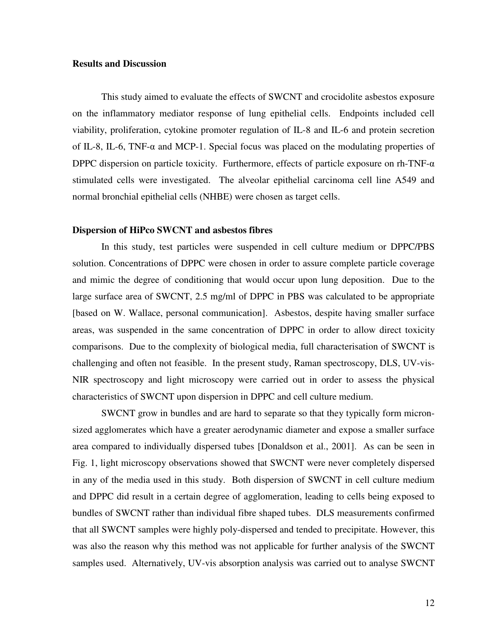#### **Results and Discussion**

This study aimed to evaluate the effects of SWCNT and crocidolite asbestos exposure on the inflammatory mediator response of lung epithelial cells. Endpoints included cell viability, proliferation, cytokine promoter regulation of IL-8 and IL-6 and protein secretion of IL-8, IL-6, TNF-α and MCP-1. Special focus was placed on the modulating properties of DPPC dispersion on particle toxicity. Furthermore, effects of particle exposure on rh-TNF- $\alpha$ stimulated cells were investigated. The alveolar epithelial carcinoma cell line A549 and normal bronchial epithelial cells (NHBE) were chosen as target cells.

#### **Dispersion of HiPco SWCNT and asbestos fibres**

In this study, test particles were suspended in cell culture medium or DPPC/PBS solution. Concentrations of DPPC were chosen in order to assure complete particle coverage and mimic the degree of conditioning that would occur upon lung deposition. Due to the large surface area of SWCNT, 2.5 mg/ml of DPPC in PBS was calculated to be appropriate [based on W. Wallace, personal communication]. Asbestos, despite having smaller surface areas, was suspended in the same concentration of DPPC in order to allow direct toxicity comparisons. Due to the complexity of biological media, full characterisation of SWCNT is challenging and often not feasible. In the present study, Raman spectroscopy, DLS, UV-vis-NIR spectroscopy and light microscopy were carried out in order to assess the physical characteristics of SWCNT upon dispersion in DPPC and cell culture medium.

SWCNT grow in bundles and are hard to separate so that they typically form micronsized agglomerates which have a greater aerodynamic diameter and expose a smaller surface area compared to individually dispersed tubes [Donaldson et al., 2001]. As can be seen in Fig. 1, light microscopy observations showed that SWCNT were never completely dispersed in any of the media used in this study. Both dispersion of SWCNT in cell culture medium and DPPC did result in a certain degree of agglomeration, leading to cells being exposed to bundles of SWCNT rather than individual fibre shaped tubes. DLS measurements confirmed that all SWCNT samples were highly poly-dispersed and tended to precipitate. However, this was also the reason why this method was not applicable for further analysis of the SWCNT samples used. Alternatively, UV-vis absorption analysis was carried out to analyse SWCNT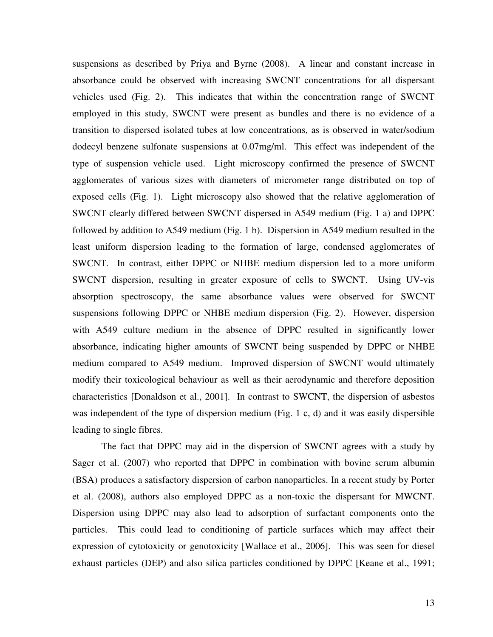suspensions as described by Priya and Byrne (2008). A linear and constant increase in absorbance could be observed with increasing SWCNT concentrations for all dispersant vehicles used (Fig. 2). This indicates that within the concentration range of SWCNT employed in this study, SWCNT were present as bundles and there is no evidence of a transition to dispersed isolated tubes at low concentrations, as is observed in water/sodium dodecyl benzene sulfonate suspensions at 0.07mg/ml. This effect was independent of the type of suspension vehicle used. Light microscopy confirmed the presence of SWCNT agglomerates of various sizes with diameters of micrometer range distributed on top of exposed cells (Fig. 1). Light microscopy also showed that the relative agglomeration of SWCNT clearly differed between SWCNT dispersed in A549 medium (Fig. 1 a) and DPPC followed by addition to A549 medium (Fig. 1 b). Dispersion in A549 medium resulted in the least uniform dispersion leading to the formation of large, condensed agglomerates of SWCNT. In contrast, either DPPC or NHBE medium dispersion led to a more uniform SWCNT dispersion, resulting in greater exposure of cells to SWCNT. Using UV-vis absorption spectroscopy, the same absorbance values were observed for SWCNT suspensions following DPPC or NHBE medium dispersion (Fig. 2). However, dispersion with A549 culture medium in the absence of DPPC resulted in significantly lower absorbance, indicating higher amounts of SWCNT being suspended by DPPC or NHBE medium compared to A549 medium. Improved dispersion of SWCNT would ultimately modify their toxicological behaviour as well as their aerodynamic and therefore deposition characteristics [Donaldson et al., 2001]. In contrast to SWCNT, the dispersion of asbestos was independent of the type of dispersion medium (Fig. 1 c, d) and it was easily dispersible leading to single fibres.

The fact that DPPC may aid in the dispersion of SWCNT agrees with a study by Sager et al. (2007) who reported that DPPC in combination with bovine serum albumin (BSA) produces a satisfactory dispersion of carbon nanoparticles. In a recent study by Porter et al. (2008), authors also employed DPPC as a non-toxic the dispersant for MWCNT. Dispersion using DPPC may also lead to adsorption of surfactant components onto the particles. This could lead to conditioning of particle surfaces which may affect their expression of cytotoxicity or genotoxicity [Wallace et al., 2006]. This was seen for diesel exhaust particles (DEP) and also silica particles conditioned by DPPC [Keane et al., 1991;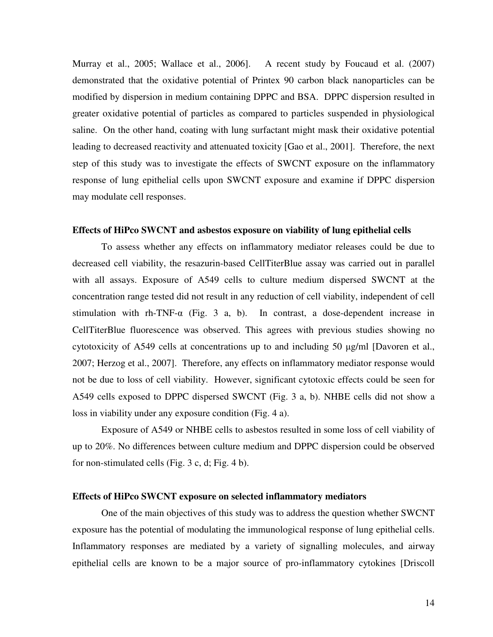Murray et al., 2005; Wallace et al., 2006]. A recent study by Foucaud et al. (2007) demonstrated that the oxidative potential of Printex 90 carbon black nanoparticles can be modified by dispersion in medium containing DPPC and BSA. DPPC dispersion resulted in greater oxidative potential of particles as compared to particles suspended in physiological saline. On the other hand, coating with lung surfactant might mask their oxidative potential leading to decreased reactivity and attenuated toxicity [Gao et al., 2001]. Therefore, the next step of this study was to investigate the effects of SWCNT exposure on the inflammatory response of lung epithelial cells upon SWCNT exposure and examine if DPPC dispersion may modulate cell responses.

#### **Effects of HiPco SWCNT and asbestos exposure on viability of lung epithelial cells**

To assess whether any effects on inflammatory mediator releases could be due to decreased cell viability, the resazurin-based CellTiterBlue assay was carried out in parallel with all assays. Exposure of A549 cells to culture medium dispersed SWCNT at the concentration range tested did not result in any reduction of cell viability, independent of cell stimulation with rh-TNF- $\alpha$  (Fig. 3 a, b). In contrast, a dose-dependent increase in CellTiterBlue fluorescence was observed. This agrees with previous studies showing no cytotoxicity of A549 cells at concentrations up to and including 50  $\mu$ g/ml [Davoren et al., 2007; Herzog et al., 2007]. Therefore, any effects on inflammatory mediator response would not be due to loss of cell viability. However, significant cytotoxic effects could be seen for A549 cells exposed to DPPC dispersed SWCNT (Fig. 3 a, b). NHBE cells did not show a loss in viability under any exposure condition (Fig. 4 a).

Exposure of A549 or NHBE cells to asbestos resulted in some loss of cell viability of up to 20%. No differences between culture medium and DPPC dispersion could be observed for non-stimulated cells (Fig. 3 c, d; Fig. 4 b).

#### **Effects of HiPco SWCNT exposure on selected inflammatory mediators**

One of the main objectives of this study was to address the question whether SWCNT exposure has the potential of modulating the immunological response of lung epithelial cells. Inflammatory responses are mediated by a variety of signalling molecules, and airway epithelial cells are known to be a major source of pro-inflammatory cytokines [Driscoll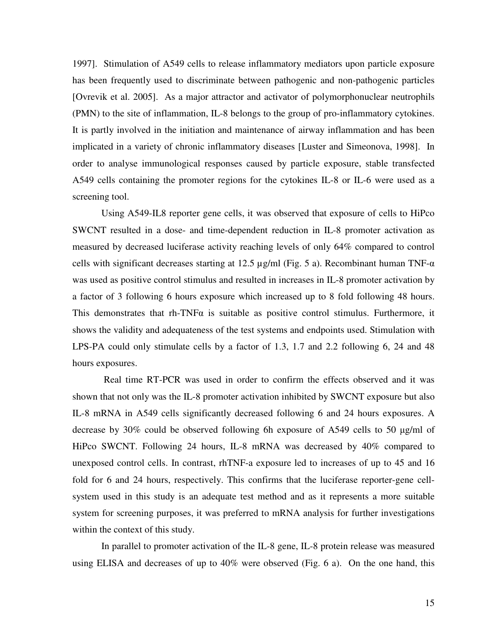1997]. Stimulation of A549 cells to release inflammatory mediators upon particle exposure has been frequently used to discriminate between pathogenic and non-pathogenic particles [Ovrevik et al. 2005]. As a major attractor and activator of polymorphonuclear neutrophils (PMN) to the site of inflammation, IL-8 belongs to the group of pro-inflammatory cytokines. It is partly involved in the initiation and maintenance of airway inflammation and has been implicated in a variety of chronic inflammatory diseases [Luster and Simeonova, 1998]. In order to analyse immunological responses caused by particle exposure, stable transfected A549 cells containing the promoter regions for the cytokines IL-8 or IL-6 were used as a screening tool.

Using A549-IL8 reporter gene cells, it was observed that exposure of cells to HiPco SWCNT resulted in a dose- and time-dependent reduction in IL-8 promoter activation as measured by decreased luciferase activity reaching levels of only 64% compared to control cells with significant decreases starting at 12.5  $\mu$ g/ml (Fig. 5 a). Recombinant human TNF- $\alpha$ was used as positive control stimulus and resulted in increases in IL-8 promoter activation by a factor of 3 following 6 hours exposure which increased up to 8 fold following 48 hours. This demonstrates that rh-TNF $\alpha$  is suitable as positive control stimulus. Furthermore, it shows the validity and adequateness of the test systems and endpoints used. Stimulation with LPS-PA could only stimulate cells by a factor of 1.3, 1.7 and 2.2 following 6, 24 and 48 hours exposures.

 Real time RT-PCR was used in order to confirm the effects observed and it was shown that not only was the IL-8 promoter activation inhibited by SWCNT exposure but also IL-8 mRNA in A549 cells significantly decreased following 6 and 24 hours exposures. A decrease by 30% could be observed following 6h exposure of A549 cells to 50 µg/ml of HiPco SWCNT. Following 24 hours, IL-8 mRNA was decreased by 40% compared to unexposed control cells. In contrast, rhTNF-a exposure led to increases of up to 45 and 16 fold for 6 and 24 hours, respectively. This confirms that the luciferase reporter-gene cellsystem used in this study is an adequate test method and as it represents a more suitable system for screening purposes, it was preferred to mRNA analysis for further investigations within the context of this study.

In parallel to promoter activation of the IL-8 gene, IL-8 protein release was measured using ELISA and decreases of up to 40% were observed (Fig. 6 a). On the one hand, this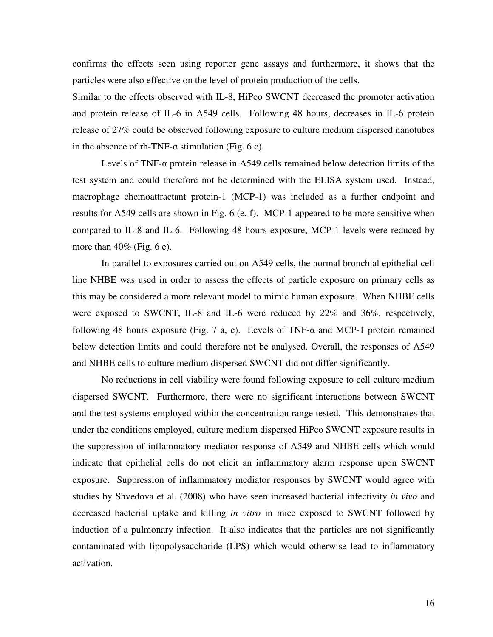confirms the effects seen using reporter gene assays and furthermore, it shows that the particles were also effective on the level of protein production of the cells.

Similar to the effects observed with IL-8, HiPco SWCNT decreased the promoter activation and protein release of IL-6 in A549 cells. Following 48 hours, decreases in IL-6 protein release of 27% could be observed following exposure to culture medium dispersed nanotubes in the absence of rh-TNF- $\alpha$  stimulation (Fig. 6 c).

Levels of TNF-α protein release in A549 cells remained below detection limits of the test system and could therefore not be determined with the ELISA system used. Instead, macrophage chemoattractant protein-1 (MCP-1) was included as a further endpoint and results for A549 cells are shown in Fig. 6 (e, f). MCP-1 appeared to be more sensitive when compared to IL-8 and IL-6. Following 48 hours exposure, MCP-1 levels were reduced by more than  $40\%$  (Fig. 6 e).

In parallel to exposures carried out on A549 cells, the normal bronchial epithelial cell line NHBE was used in order to assess the effects of particle exposure on primary cells as this may be considered a more relevant model to mimic human exposure. When NHBE cells were exposed to SWCNT, IL-8 and IL-6 were reduced by 22% and 36%, respectively, following 48 hours exposure (Fig. 7 a, c). Levels of TNF- $\alpha$  and MCP-1 protein remained below detection limits and could therefore not be analysed. Overall, the responses of A549 and NHBE cells to culture medium dispersed SWCNT did not differ significantly.

No reductions in cell viability were found following exposure to cell culture medium dispersed SWCNT. Furthermore, there were no significant interactions between SWCNT and the test systems employed within the concentration range tested. This demonstrates that under the conditions employed, culture medium dispersed HiPco SWCNT exposure results in the suppression of inflammatory mediator response of A549 and NHBE cells which would indicate that epithelial cells do not elicit an inflammatory alarm response upon SWCNT exposure. Suppression of inflammatory mediator responses by SWCNT would agree with studies by Shvedova et al. (2008) who have seen increased bacterial infectivity *in vivo* and decreased bacterial uptake and killing *in vitro* in mice exposed to SWCNT followed by induction of a pulmonary infection. It also indicates that the particles are not significantly contaminated with lipopolysaccharide (LPS) which would otherwise lead to inflammatory activation.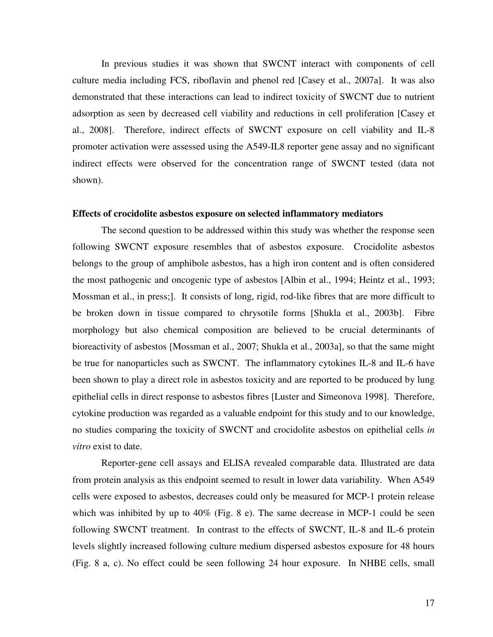In previous studies it was shown that SWCNT interact with components of cell culture media including FCS, riboflavin and phenol red [Casey et al., 2007a]. It was also demonstrated that these interactions can lead to indirect toxicity of SWCNT due to nutrient adsorption as seen by decreased cell viability and reductions in cell proliferation [Casey et al., 2008]. Therefore, indirect effects of SWCNT exposure on cell viability and IL-8 promoter activation were assessed using the A549-IL8 reporter gene assay and no significant indirect effects were observed for the concentration range of SWCNT tested (data not shown).

#### **Effects of crocidolite asbestos exposure on selected inflammatory mediators**

The second question to be addressed within this study was whether the response seen following SWCNT exposure resembles that of asbestos exposure. Crocidolite asbestos belongs to the group of amphibole asbestos, has a high iron content and is often considered the most pathogenic and oncogenic type of asbestos [Albin et al., 1994; Heintz et al., 1993; Mossman et al., in press;]. It consists of long, rigid, rod-like fibres that are more difficult to be broken down in tissue compared to chrysotile forms [Shukla et al., 2003b]. Fibre morphology but also chemical composition are believed to be crucial determinants of bioreactivity of asbestos [Mossman et al., 2007; Shukla et al., 2003a], so that the same might be true for nanoparticles such as SWCNT. The inflammatory cytokines IL-8 and IL-6 have been shown to play a direct role in asbestos toxicity and are reported to be produced by lung epithelial cells in direct response to asbestos fibres [Luster and Simeonova 1998]. Therefore, cytokine production was regarded as a valuable endpoint for this study and to our knowledge, no studies comparing the toxicity of SWCNT and crocidolite asbestos on epithelial cells *in vitro* exist to date.

Reporter-gene cell assays and ELISA revealed comparable data. Illustrated are data from protein analysis as this endpoint seemed to result in lower data variability. When A549 cells were exposed to asbestos, decreases could only be measured for MCP-1 protein release which was inhibited by up to 40% (Fig. 8 e). The same decrease in MCP-1 could be seen following SWCNT treatment. In contrast to the effects of SWCNT, IL-8 and IL-6 protein levels slightly increased following culture medium dispersed asbestos exposure for 48 hours (Fig. 8 a, c). No effect could be seen following 24 hour exposure. In NHBE cells, small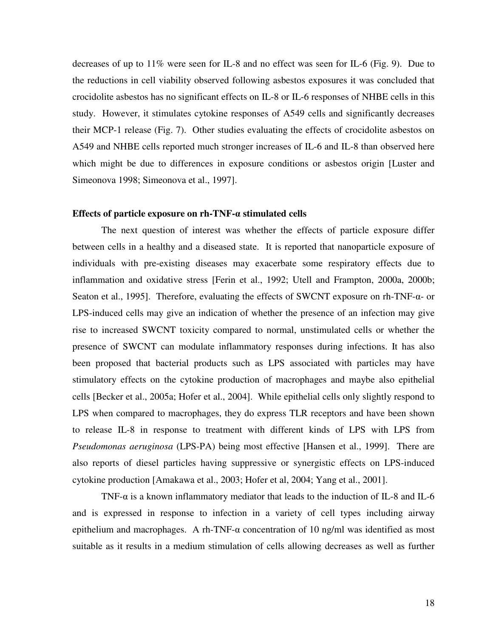decreases of up to 11% were seen for IL-8 and no effect was seen for IL-6 (Fig. 9). Due to the reductions in cell viability observed following asbestos exposures it was concluded that crocidolite asbestos has no significant effects on IL-8 or IL-6 responses of NHBE cells in this study. However, it stimulates cytokine responses of A549 cells and significantly decreases their MCP-1 release (Fig. 7). Other studies evaluating the effects of crocidolite asbestos on A549 and NHBE cells reported much stronger increases of IL-6 and IL-8 than observed here which might be due to differences in exposure conditions or asbestos origin [Luster and Simeonova 1998; Simeonova et al., 1997].

#### **Effects of particle exposure on rh-TNF-**α **stimulated cells**

The next question of interest was whether the effects of particle exposure differ between cells in a healthy and a diseased state. It is reported that nanoparticle exposure of individuals with pre-existing diseases may exacerbate some respiratory effects due to inflammation and oxidative stress [Ferin et al., 1992; Utell and Frampton, 2000a, 2000b; Seaton et al., 1995]. Therefore, evaluating the effects of SWCNT exposure on rh-TNF-α- or LPS-induced cells may give an indication of whether the presence of an infection may give rise to increased SWCNT toxicity compared to normal, unstimulated cells or whether the presence of SWCNT can modulate inflammatory responses during infections. It has also been proposed that bacterial products such as LPS associated with particles may have stimulatory effects on the cytokine production of macrophages and maybe also epithelial cells [Becker et al., 2005a; Hofer et al., 2004]. While epithelial cells only slightly respond to LPS when compared to macrophages, they do express TLR receptors and have been shown to release IL-8 in response to treatment with different kinds of LPS with LPS from *Pseudomonas aeruginosa* (LPS-PA) being most effective [Hansen et al., 1999]. There are also reports of diesel particles having suppressive or synergistic effects on LPS-induced cytokine production [Amakawa et al., 2003; Hofer et al, 2004; Yang et al., 2001].

TNF- $\alpha$  is a known inflammatory mediator that leads to the induction of IL-8 and IL-6 and is expressed in response to infection in a variety of cell types including airway epithelium and macrophages. A rh-TNF- $\alpha$  concentration of 10 ng/ml was identified as most suitable as it results in a medium stimulation of cells allowing decreases as well as further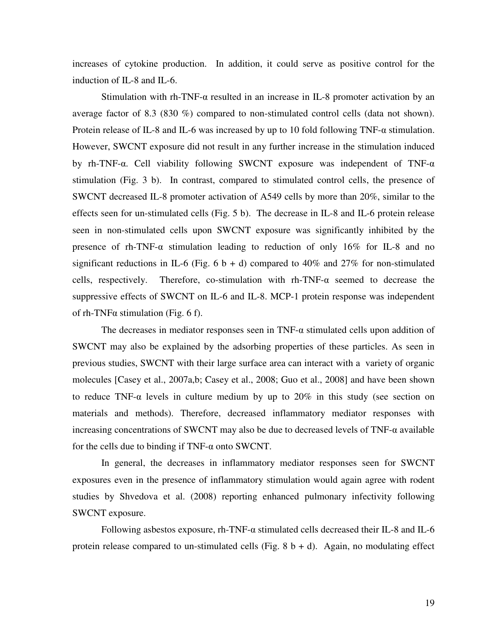increases of cytokine production. In addition, it could serve as positive control for the induction of IL-8 and IL-6.

Stimulation with rh-TNF- $\alpha$  resulted in an increase in IL-8 promoter activation by an average factor of 8.3 (830 %) compared to non-stimulated control cells (data not shown). Protein release of IL-8 and IL-6 was increased by up to 10 fold following TNF- $\alpha$  stimulation. However, SWCNT exposure did not result in any further increase in the stimulation induced by rh-TNF-α. Cell viability following SWCNT exposure was independent of TNF-α stimulation (Fig. 3 b). In contrast, compared to stimulated control cells, the presence of SWCNT decreased IL-8 promoter activation of A549 cells by more than 20%, similar to the effects seen for un-stimulated cells (Fig. 5 b). The decrease in IL-8 and IL-6 protein release seen in non-stimulated cells upon SWCNT exposure was significantly inhibited by the presence of rh-TNF-α stimulation leading to reduction of only 16% for IL-8 and no significant reductions in IL-6 (Fig. 6 b + d) compared to 40% and 27% for non-stimulated cells, respectively. Therefore, co-stimulation with rh-TNF-α seemed to decrease the suppressive effects of SWCNT on IL-6 and IL-8. MCP-1 protein response was independent of rh-TNF $\alpha$  stimulation (Fig. 6 f).

The decreases in mediator responses seen in TNF-α stimulated cells upon addition of SWCNT may also be explained by the adsorbing properties of these particles. As seen in previous studies, SWCNT with their large surface area can interact with a variety of organic molecules [Casey et al., 2007a,b; Casey et al., 2008; Guo et al., 2008] and have been shown to reduce TNF- $\alpha$  levels in culture medium by up to 20% in this study (see section on materials and methods). Therefore, decreased inflammatory mediator responses with increasing concentrations of SWCNT may also be due to decreased levels of TNF-α available for the cells due to binding if  $TNF-\alpha$  onto SWCNT.

In general, the decreases in inflammatory mediator responses seen for SWCNT exposures even in the presence of inflammatory stimulation would again agree with rodent studies by Shvedova et al. (2008) reporting enhanced pulmonary infectivity following SWCNT exposure.

Following asbestos exposure, rh-TNF-α stimulated cells decreased their IL-8 and IL-6 protein release compared to un-stimulated cells (Fig.  $8 b + d$ ). Again, no modulating effect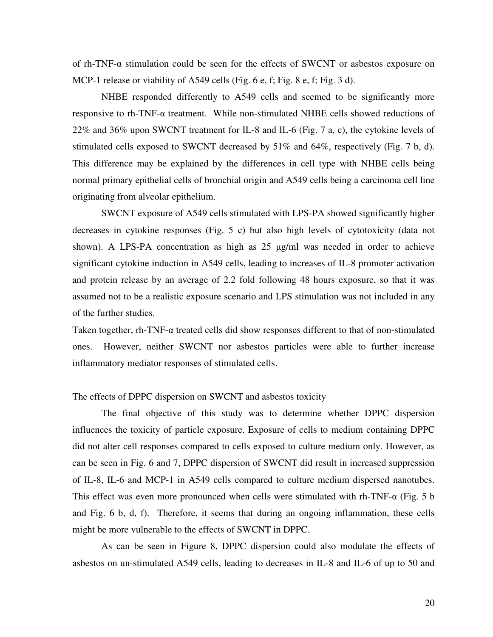of rh-TNF-α stimulation could be seen for the effects of SWCNT or asbestos exposure on MCP-1 release or viability of A549 cells (Fig. 6 e, f; Fig. 8 e, f; Fig. 3 d).

NHBE responded differently to A549 cells and seemed to be significantly more responsive to rh-TNF- $\alpha$  treatment. While non-stimulated NHBE cells showed reductions of 22% and 36% upon SWCNT treatment for IL-8 and IL-6 (Fig. 7 a, c), the cytokine levels of stimulated cells exposed to SWCNT decreased by 51% and 64%, respectively (Fig. 7 b, d). This difference may be explained by the differences in cell type with NHBE cells being normal primary epithelial cells of bronchial origin and A549 cells being a carcinoma cell line originating from alveolar epithelium.

SWCNT exposure of A549 cells stimulated with LPS-PA showed significantly higher decreases in cytokine responses (Fig. 5 c) but also high levels of cytotoxicity (data not shown). A LPS-PA concentration as high as  $25 \mu g/ml$  was needed in order to achieve significant cytokine induction in A549 cells, leading to increases of IL-8 promoter activation and protein release by an average of 2.2 fold following 48 hours exposure, so that it was assumed not to be a realistic exposure scenario and LPS stimulation was not included in any of the further studies.

Taken together, rh-TNF-α treated cells did show responses different to that of non-stimulated ones. However, neither SWCNT nor asbestos particles were able to further increase inflammatory mediator responses of stimulated cells.

#### The effects of DPPC dispersion on SWCNT and asbestos toxicity

The final objective of this study was to determine whether DPPC dispersion influences the toxicity of particle exposure. Exposure of cells to medium containing DPPC did not alter cell responses compared to cells exposed to culture medium only. However, as can be seen in Fig. 6 and 7, DPPC dispersion of SWCNT did result in increased suppression of IL-8, IL-6 and MCP-1 in A549 cells compared to culture medium dispersed nanotubes. This effect was even more pronounced when cells were stimulated with rh-TNF- $\alpha$  (Fig. 5 b) and Fig. 6 b, d, f). Therefore, it seems that during an ongoing inflammation, these cells might be more vulnerable to the effects of SWCNT in DPPC.

As can be seen in Figure 8, DPPC dispersion could also modulate the effects of asbestos on un-stimulated A549 cells, leading to decreases in IL-8 and IL-6 of up to 50 and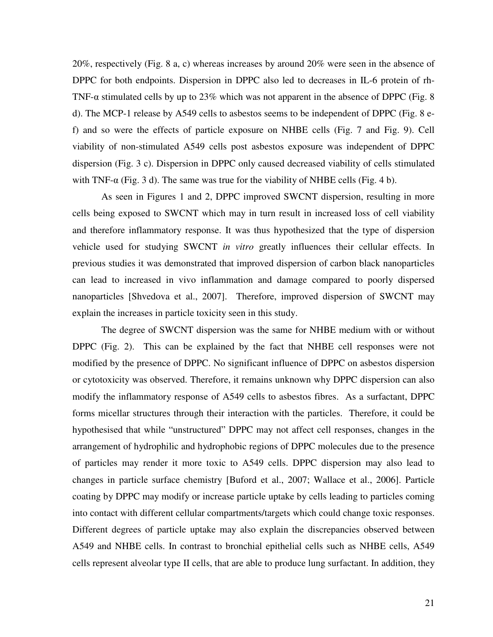20%, respectively (Fig. 8 a, c) whereas increases by around 20% were seen in the absence of DPPC for both endpoints. Dispersion in DPPC also led to decreases in IL-6 protein of rh-TNF- $\alpha$  stimulated cells by up to 23% which was not apparent in the absence of DPPC (Fig. 8) d). The MCP-1 release by A549 cells to asbestos seems to be independent of DPPC (Fig. 8 ef) and so were the effects of particle exposure on NHBE cells (Fig. 7 and Fig. 9). Cell viability of non-stimulated A549 cells post asbestos exposure was independent of DPPC dispersion (Fig. 3 c). Dispersion in DPPC only caused decreased viability of cells stimulated with TNF- $\alpha$  (Fig. 3 d). The same was true for the viability of NHBE cells (Fig. 4 b).

As seen in Figures 1 and 2, DPPC improved SWCNT dispersion, resulting in more cells being exposed to SWCNT which may in turn result in increased loss of cell viability and therefore inflammatory response. It was thus hypothesized that the type of dispersion vehicle used for studying SWCNT *in vitro* greatly influences their cellular effects. In previous studies it was demonstrated that improved dispersion of carbon black nanoparticles can lead to increased in vivo inflammation and damage compared to poorly dispersed nanoparticles [Shvedova et al., 2007]. Therefore, improved dispersion of SWCNT may explain the increases in particle toxicity seen in this study.

The degree of SWCNT dispersion was the same for NHBE medium with or without DPPC (Fig. 2). This can be explained by the fact that NHBE cell responses were not modified by the presence of DPPC. No significant influence of DPPC on asbestos dispersion or cytotoxicity was observed. Therefore, it remains unknown why DPPC dispersion can also modify the inflammatory response of A549 cells to asbestos fibres. As a surfactant, DPPC forms micellar structures through their interaction with the particles. Therefore, it could be hypothesised that while "unstructured" DPPC may not affect cell responses, changes in the arrangement of hydrophilic and hydrophobic regions of DPPC molecules due to the presence of particles may render it more toxic to A549 cells. DPPC dispersion may also lead to changes in particle surface chemistry [Buford et al., 2007; Wallace et al., 2006]. Particle coating by DPPC may modify or increase particle uptake by cells leading to particles coming into contact with different cellular compartments/targets which could change toxic responses. Different degrees of particle uptake may also explain the discrepancies observed between A549 and NHBE cells. In contrast to bronchial epithelial cells such as NHBE cells, A549 cells represent alveolar type II cells, that are able to produce lung surfactant. In addition, they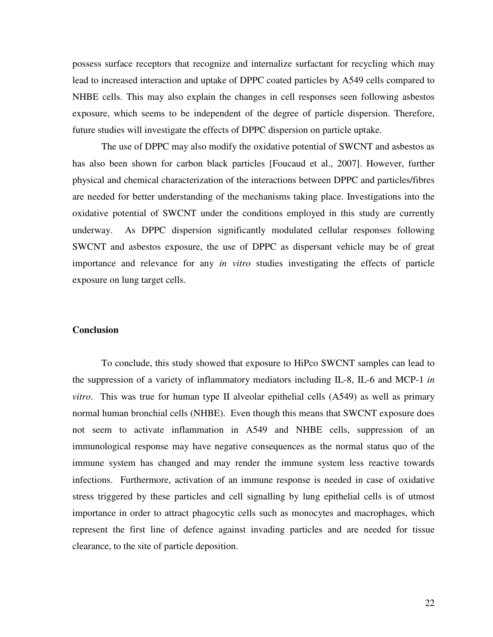possess surface receptors that recognize and internalize surfactant for recycling which may lead to increased interaction and uptake of DPPC coated particles by A549 cells compared to NHBE cells. This may also explain the changes in cell responses seen following asbestos exposure, which seems to be independent of the degree of particle dispersion. Therefore, future studies will investigate the effects of DPPC dispersion on particle uptake.

The use of DPPC may also modify the oxidative potential of SWCNT and asbestos as has also been shown for carbon black particles [Foucaud et al., 2007]. However, further physical and chemical characterization of the interactions between DPPC and particles/fibres are needed for better understanding of the mechanisms taking place. Investigations into the oxidative potential of SWCNT under the conditions employed in this study are currently underway. As DPPC dispersion significantly modulated cellular responses following SWCNT and asbestos exposure, the use of DPPC as dispersant vehicle may be of great importance and relevance for any *in vitro* studies investigating the effects of particle exposure on lung target cells.

#### **Conclusion**

To conclude, this study showed that exposure to HiPco SWCNT samples can lead to the suppression of a variety of inflammatory mediators including IL-8, IL-6 and MCP-1 *in vitro*. This was true for human type II alveolar epithelial cells (A549) as well as primary normal human bronchial cells (NHBE). Even though this means that SWCNT exposure does not seem to activate inflammation in A549 and NHBE cells, suppression of an immunological response may have negative consequences as the normal status quo of the immune system has changed and may render the immune system less reactive towards infections. Furthermore, activation of an immune response is needed in case of oxidative stress triggered by these particles and cell signalling by lung epithelial cells is of utmost importance in order to attract phagocytic cells such as monocytes and macrophages, which represent the first line of defence against invading particles and are needed for tissue clearance, to the site of particle deposition.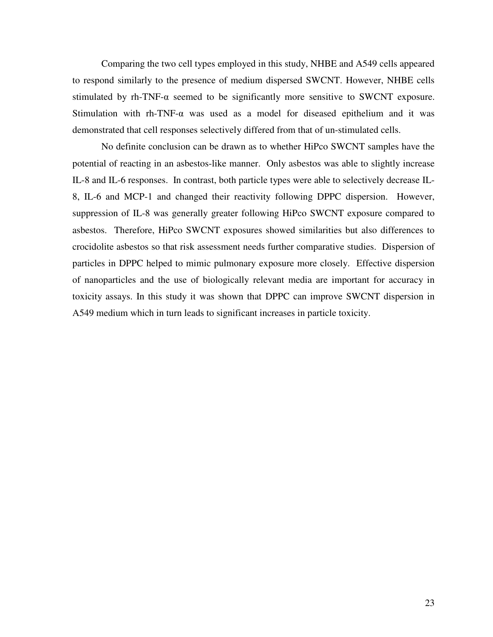Comparing the two cell types employed in this study, NHBE and A549 cells appeared to respond similarly to the presence of medium dispersed SWCNT. However, NHBE cells stimulated by rh-TNF- $\alpha$  seemed to be significantly more sensitive to SWCNT exposure. Stimulation with rh-TNF-α was used as a model for diseased epithelium and it was demonstrated that cell responses selectively differed from that of un-stimulated cells.

No definite conclusion can be drawn as to whether HiPco SWCNT samples have the potential of reacting in an asbestos-like manner. Only asbestos was able to slightly increase IL-8 and IL-6 responses. In contrast, both particle types were able to selectively decrease IL-8, IL-6 and MCP-1 and changed their reactivity following DPPC dispersion. However, suppression of IL-8 was generally greater following HiPco SWCNT exposure compared to asbestos. Therefore, HiPco SWCNT exposures showed similarities but also differences to crocidolite asbestos so that risk assessment needs further comparative studies. Dispersion of particles in DPPC helped to mimic pulmonary exposure more closely. Effective dispersion of nanoparticles and the use of biologically relevant media are important for accuracy in toxicity assays. In this study it was shown that DPPC can improve SWCNT dispersion in A549 medium which in turn leads to significant increases in particle toxicity.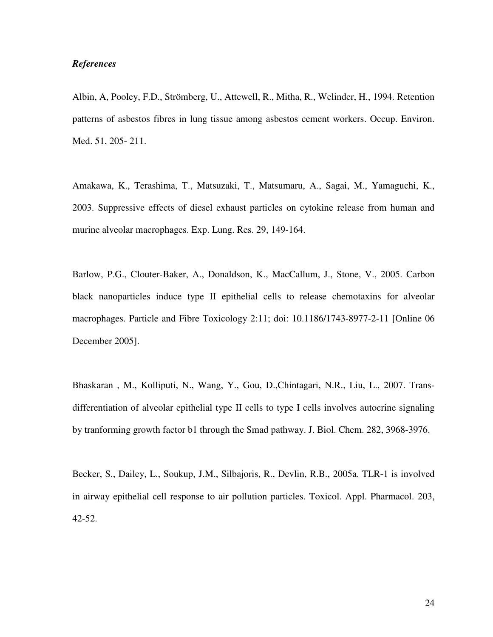#### *References*

Albin, A, Pooley, F.D., Strömberg, U., Attewell, R., Mitha, R., Welinder, H., 1994. Retention patterns of asbestos fibres in lung tissue among asbestos cement workers. Occup. Environ. Med. 51, 205- 211.

Amakawa, K., Terashima, T., Matsuzaki, T., Matsumaru, A., Sagai, M., Yamaguchi, K., 2003. Suppressive effects of diesel exhaust particles on cytokine release from human and murine alveolar macrophages. Exp. Lung. Res. 29, 149-164.

Barlow, P.G., Clouter-Baker, A., Donaldson, K., MacCallum, J., Stone, V., 2005. Carbon black nanoparticles induce type II epithelial cells to release chemotaxins for alveolar macrophages. Particle and Fibre Toxicology 2:11; doi: 10.1186/1743-8977-2-11 [Online 06 December 2005].

Bhaskaran , M., Kolliputi, N., Wang, Y., Gou, D.,Chintagari, N.R., Liu, L., 2007. Transdifferentiation of alveolar epithelial type II cells to type I cells involves autocrine signaling by tranforming growth factor b1 through the Smad pathway. J. Biol. Chem. 282, 3968-3976.

Becker, S., Dailey, L., Soukup, J.M., Silbajoris, R., Devlin, R.B., 2005a. TLR-1 is involved in airway epithelial cell response to air pollution particles. Toxicol. Appl. Pharmacol. 203, 42-52.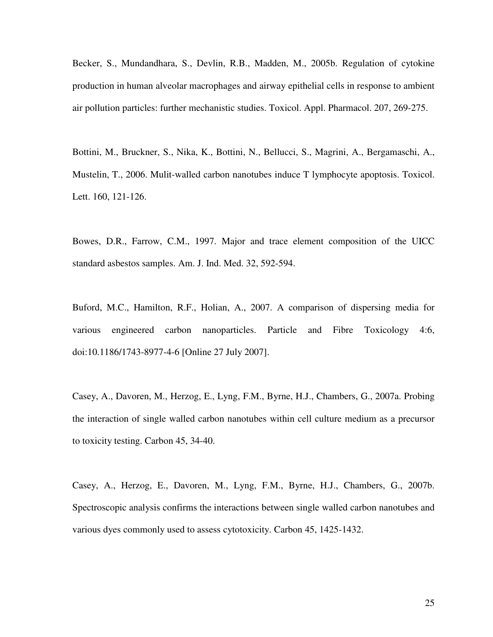Becker, S., Mundandhara, S., Devlin, R.B., Madden, M., 2005b. Regulation of cytokine production in human alveolar macrophages and airway epithelial cells in response to ambient air pollution particles: further mechanistic studies. Toxicol. Appl. Pharmacol. 207, 269-275.

Bottini, M., Bruckner, S., Nika, K., Bottini, N., Bellucci, S., Magrini, A., Bergamaschi, A., Mustelin, T., 2006. Mulit-walled carbon nanotubes induce T lymphocyte apoptosis. Toxicol. Lett. 160, 121-126.

Bowes, D.R., Farrow, C.M., 1997. Major and trace element composition of the UICC standard asbestos samples. Am. J. Ind. Med. 32, 592-594.

Buford, M.C., Hamilton, R.F., Holian, A., 2007. A comparison of dispersing media for various engineered carbon nanoparticles. Particle and Fibre Toxicology 4:6, doi:10.1186/1743-8977-4-6 [Online 27 July 2007].

Casey, A., Davoren, M., Herzog, E., Lyng, F.M., Byrne, H.J., Chambers, G., 2007a. Probing the interaction of single walled carbon nanotubes within cell culture medium as a precursor to toxicity testing. Carbon 45, 34-40.

Casey, A., Herzog, E., Davoren, M., Lyng, F.M., Byrne, H.J., Chambers, G., 2007b. Spectroscopic analysis confirms the interactions between single walled carbon nanotubes and various dyes commonly used to assess cytotoxicity. Carbon 45, 1425-1432.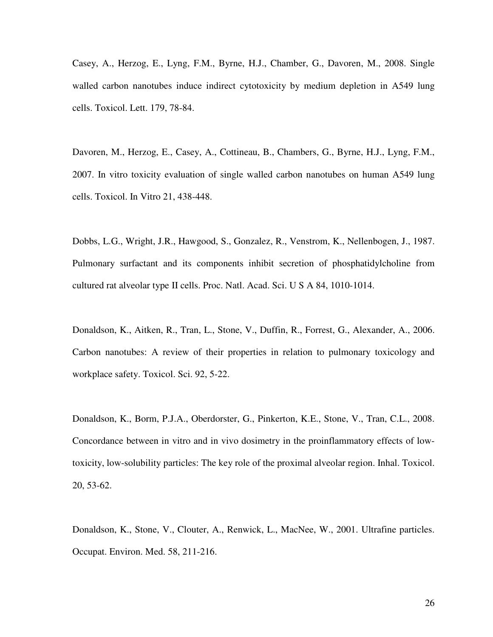Casey, A., Herzog, E., Lyng, F.M., Byrne, H.J., Chamber, G., Davoren, M., 2008. Single walled carbon nanotubes induce indirect cytotoxicity by medium depletion in A549 lung cells. Toxicol. Lett. 179, 78-84.

Davoren, M., Herzog, E., Casey, A., Cottineau, B., Chambers, G., Byrne, H.J., Lyng, F.M., 2007. In vitro toxicity evaluation of single walled carbon nanotubes on human A549 lung cells. Toxicol. In Vitro 21, 438-448.

Dobbs, L.G., Wright, J.R., Hawgood, S., Gonzalez, R., Venstrom, K., Nellenbogen, J., 1987. Pulmonary surfactant and its components inhibit secretion of phosphatidylcholine from cultured rat alveolar type II cells. Proc. Natl. Acad. Sci. U S A 84, 1010-1014.

Donaldson, K., Aitken, R., Tran, L., Stone, V., Duffin, R., Forrest, G., Alexander, A., 2006. Carbon nanotubes: A review of their properties in relation to pulmonary toxicology and workplace safety. Toxicol. Sci. 92, 5-22.

Donaldson, K., Borm, P.J.A., Oberdorster, G., Pinkerton, K.E., Stone, V., Tran, C.L., 2008. Concordance between in vitro and in vivo dosimetry in the proinflammatory effects of lowtoxicity, low-solubility particles: The key role of the proximal alveolar region. Inhal. Toxicol. 20, 53-62.

Donaldson, K., Stone, V., Clouter, A., Renwick, L., MacNee, W., 2001. Ultrafine particles. Occupat. Environ. Med. 58, 211-216.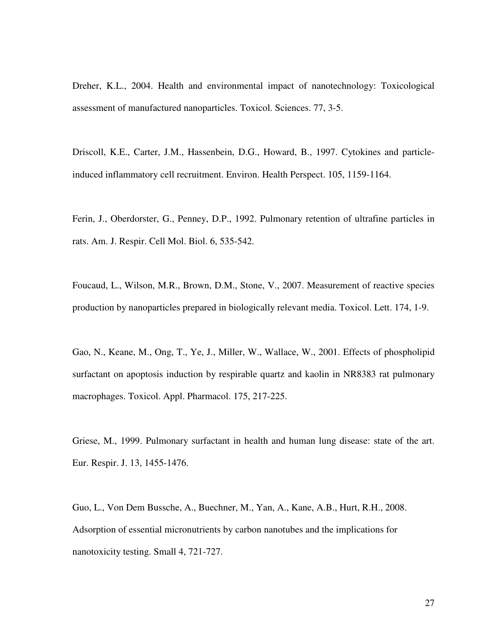Dreher, K.L., 2004. Health and environmental impact of nanotechnology: Toxicological assessment of manufactured nanoparticles. Toxicol. Sciences. 77, 3-5.

Driscoll, K.E., Carter, J.M., Hassenbein, D.G., Howard, B., 1997. Cytokines and particleinduced inflammatory cell recruitment. Environ. Health Perspect. 105, 1159-1164.

Ferin, J., Oberdorster, G., Penney, D.P., 1992. Pulmonary retention of ultrafine particles in rats. Am. J. Respir. Cell Mol. Biol. 6, 535-542.

Foucaud, L., Wilson, M.R., Brown, D.M., Stone, V., 2007. Measurement of reactive species production by nanoparticles prepared in biologically relevant media. Toxicol. Lett. 174, 1-9.

Gao, N., Keane, M., Ong, T., Ye, J., Miller, W., Wallace, W., 2001. Effects of phospholipid surfactant on apoptosis induction by respirable quartz and kaolin in NR8383 rat pulmonary macrophages. Toxicol. Appl. Pharmacol. 175, 217-225.

Griese, M., 1999. Pulmonary surfactant in health and human lung disease: state of the art. Eur. Respir. J. 13, 1455-1476.

Guo, L., Von Dem Bussche, A., Buechner, M., Yan, A., Kane, A.B., Hurt, R.H., 2008. Adsorption of essential micronutrients by carbon nanotubes and the implications for nanotoxicity testing. Small 4, 721-727.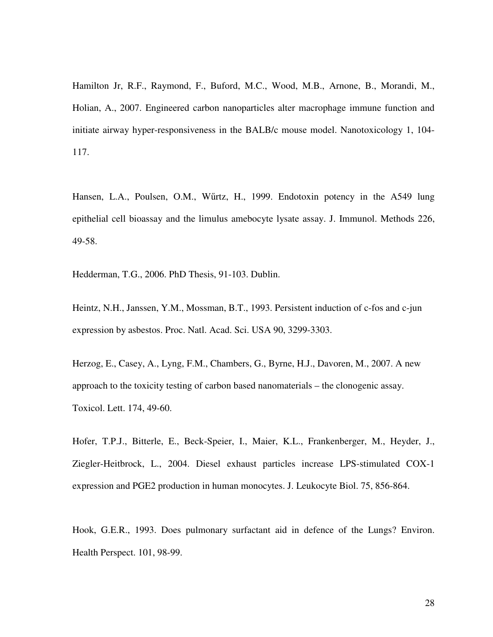Hamilton Jr, R.F., Raymond, F., Buford, M.C., Wood, M.B., Arnone, B., Morandi, M., Holian, A., 2007. Engineered carbon nanoparticles alter macrophage immune function and initiate airway hyper-responsiveness in the BALB/c mouse model. Nanotoxicology 1, 104- 117.

Hansen, L.A., Poulsen, O.M., Wőrtz, H., 1999. Endotoxin potency in the A549 lung epithelial cell bioassay and the limulus amebocyte lysate assay. J. Immunol. Methods 226, 49-58.

Hedderman, T.G., 2006. PhD Thesis, 91-103. Dublin.

Heintz, N.H., Janssen, Y.M., Mossman, B.T., 1993. Persistent induction of c-fos and c-jun expression by asbestos. Proc. Natl. Acad. Sci. USA 90, 3299-3303.

Herzog, E., Casey, A., Lyng, F.M., Chambers, G., Byrne, H.J., Davoren, M., 2007. A new approach to the toxicity testing of carbon based nanomaterials – the clonogenic assay. Toxicol. Lett. 174, 49-60.

Hofer, T.P.J., Bitterle, E., Beck-Speier, I., Maier, K.L., Frankenberger, M., Heyder, J., Ziegler-Heitbrock, L., 2004. Diesel exhaust particles increase LPS-stimulated COX-1 expression and PGE2 production in human monocytes. J. Leukocyte Biol. 75, 856-864.

Hook, G.E.R., 1993. Does pulmonary surfactant aid in defence of the Lungs? Environ. Health Perspect. 101, 98-99.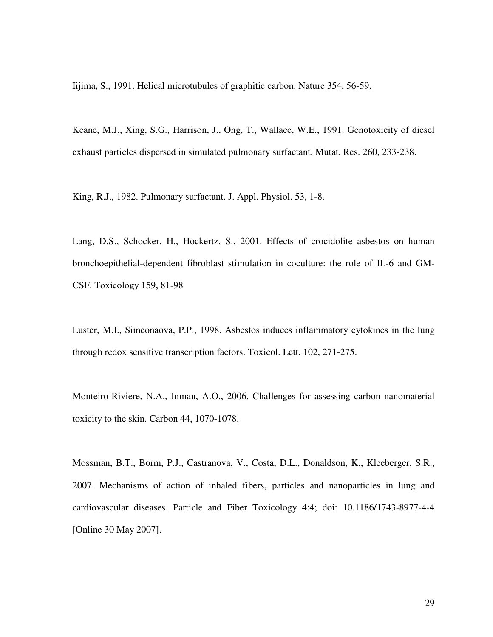Iijima, S., 1991. Helical microtubules of graphitic carbon. Nature 354, 56-59.

Keane, M.J., Xing, S.G., Harrison, J., Ong, T., Wallace, W.E., 1991. Genotoxicity of diesel exhaust particles dispersed in simulated pulmonary surfactant. Mutat. Res. 260, 233-238.

King, R.J., 1982. Pulmonary surfactant. J. Appl. Physiol. 53, 1-8.

Lang, D.S., Schocker, H., Hockertz, S., 2001. Effects of crocidolite asbestos on human bronchoepithelial-dependent fibroblast stimulation in coculture: the role of IL-6 and GM-CSF. Toxicology 159, 81-98

Luster, M.I., Simeonaova, P.P., 1998. Asbestos induces inflammatory cytokines in the lung through redox sensitive transcription factors. Toxicol. Lett. 102, 271-275.

Monteiro-Riviere, N.A., Inman, A.O., 2006. Challenges for assessing carbon nanomaterial toxicity to the skin. Carbon 44, 1070-1078.

Mossman, B.T., Borm, P.J., Castranova, V., Costa, D.L., Donaldson, K., Kleeberger, S.R., 2007. Mechanisms of action of inhaled fibers, particles and nanoparticles in lung and cardiovascular diseases. Particle and Fiber Toxicology 4:4; doi: 10.1186/1743-8977-4-4 [Online 30 May 2007].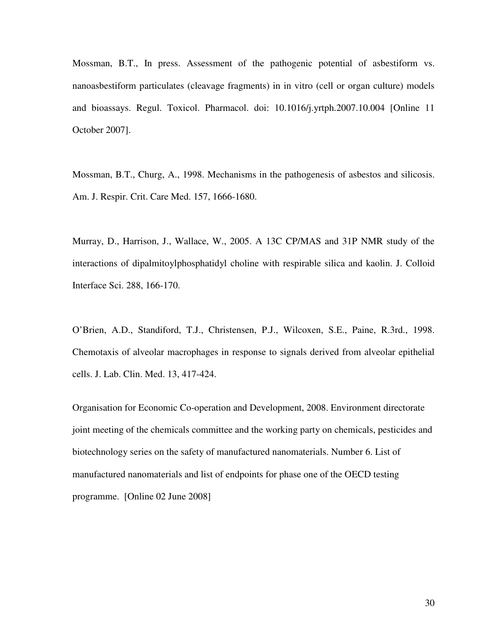Mossman, B.T., In press. Assessment of the pathogenic potential of asbestiform vs. nanoasbestiform particulates (cleavage fragments) in in vitro (cell or organ culture) models and bioassays. Regul. Toxicol. Pharmacol. doi: 10.1016/j.yrtph.2007.10.004 [Online 11 October 2007].

Mossman, B.T., Churg, A., 1998. Mechanisms in the pathogenesis of asbestos and silicosis. Am. J. Respir. Crit. Care Med. 157, 1666-1680.

Murray, D., Harrison, J., Wallace, W., 2005. A 13C CP/MAS and 31P NMR study of the interactions of dipalmitoylphosphatidyl choline with respirable silica and kaolin. J. Colloid Interface Sci. 288, 166-170.

O'Brien, A.D., Standiford, T.J., Christensen, P.J., Wilcoxen, S.E., Paine, R.3rd., 1998. Chemotaxis of alveolar macrophages in response to signals derived from alveolar epithelial cells. J. Lab. Clin. Med. 13, 417-424.

Organisation for Economic Co-operation and Development, 2008. Environment directorate joint meeting of the chemicals committee and the working party on chemicals, pesticides and biotechnology series on the safety of manufactured nanomaterials. Number 6. List of manufactured nanomaterials and list of endpoints for phase one of the OECD testing programme. [Online 02 June 2008]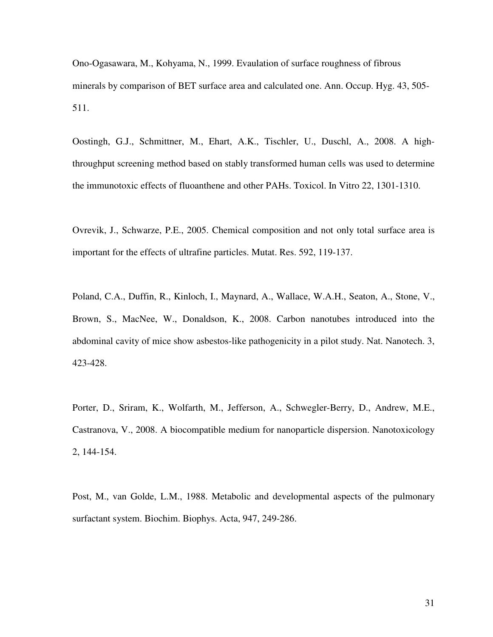Ono-Ogasawara, M., Kohyama, N., 1999. Evaulation of surface roughness of fibrous minerals by comparison of BET surface area and calculated one. Ann. Occup. Hyg. 43, 505- 511.

Oostingh, G.J., Schmittner, M., Ehart, A.K., Tischler, U., Duschl, A., 2008. A highthroughput screening method based on stably transformed human cells was used to determine the immunotoxic effects of fluoanthene and other PAHs. Toxicol. In Vitro 22, 1301-1310.

Ovrevik, J., Schwarze, P.E., 2005. Chemical composition and not only total surface area is important for the effects of ultrafine particles. Mutat. Res. 592, 119-137.

Poland, C.A., Duffin, R., Kinloch, I., Maynard, A., Wallace, W.A.H., Seaton, A., Stone, V., Brown, S., MacNee, W., Donaldson, K., 2008. Carbon nanotubes introduced into the abdominal cavity of mice show asbestos-like pathogenicity in a pilot study. Nat. Nanotech. 3, 423-428.

Porter, D., Sriram, K., Wolfarth, M., Jefferson, A., Schwegler-Berry, D., Andrew, M.E., Castranova, V., 2008. A biocompatible medium for nanoparticle dispersion. Nanotoxicology 2, 144-154.

Post, M., van Golde, L.M., 1988. Metabolic and developmental aspects of the pulmonary surfactant system. Biochim. Biophys. Acta, 947, 249-286.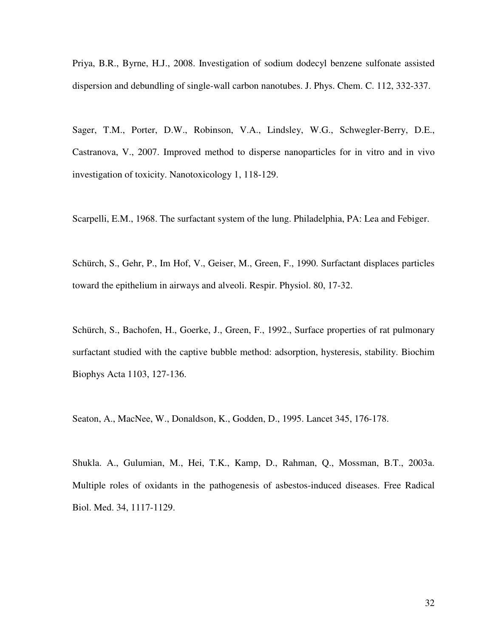Priya, B.R., Byrne, H.J., 2008. Investigation of sodium dodecyl benzene sulfonate assisted dispersion and debundling of single-wall carbon nanotubes. J. Phys. Chem. C. 112, 332-337.

Sager, T.M., Porter, D.W., Robinson, V.A., Lindsley, W.G., Schwegler-Berry, D.E., Castranova, V., 2007. Improved method to disperse nanoparticles for in vitro and in vivo investigation of toxicity. Nanotoxicology 1, 118-129.

Scarpelli, E.M., 1968. The surfactant system of the lung. Philadelphia, PA: Lea and Febiger.

Schürch, S., Gehr, P., Im Hof, V., Geiser, M., Green, F., 1990. Surfactant displaces particles toward the epithelium in airways and alveoli. Respir. Physiol. 80, 17-32.

Schürch, S., Bachofen, H., Goerke, J., Green, F., 1992., Surface properties of rat pulmonary surfactant studied with the captive bubble method: adsorption, hysteresis, stability. Biochim Biophys Acta 1103, 127-136.

Seaton, A., MacNee, W., Donaldson, K., Godden, D., 1995. Lancet 345, 176-178.

Shukla. A., Gulumian, M., Hei, T.K., Kamp, D., Rahman, Q., Mossman, B.T., 2003a. Multiple roles of oxidants in the pathogenesis of asbestos-induced diseases. Free Radical Biol. Med. 34, 1117-1129.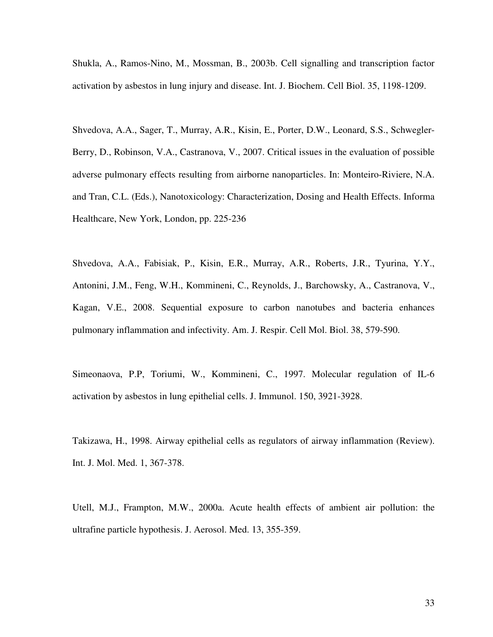Shukla, A., Ramos-Nino, M., Mossman, B., 2003b. Cell signalling and transcription factor activation by asbestos in lung injury and disease. Int. J. Biochem. Cell Biol. 35, 1198-1209.

Shvedova, A.A., Sager, T., Murray, A.R., Kisin, E., Porter, D.W., Leonard, S.S., Schwegler-Berry, D., Robinson, V.A., Castranova, V., 2007. Critical issues in the evaluation of possible adverse pulmonary effects resulting from airborne nanoparticles. In: Monteiro-Riviere, N.A. and Tran, C.L. (Eds.), Nanotoxicology: Characterization, Dosing and Health Effects. Informa Healthcare, New York, London, pp. 225-236

Shvedova, A.A., Fabisiak, P., Kisin, E.R., Murray, A.R., Roberts, J.R., Tyurina, Y.Y., Antonini, J.M., Feng, W.H., Kommineni, C., Reynolds, J., Barchowsky, A., Castranova, V., Kagan, V.E., 2008. Sequential exposure to carbon nanotubes and bacteria enhances pulmonary inflammation and infectivity. Am. J. Respir. Cell Mol. Biol. 38, 579-590.

Simeonaova, P.P, Toriumi, W., Kommineni, C., 1997. Molecular regulation of IL-6 activation by asbestos in lung epithelial cells. J. Immunol. 150, 3921-3928.

Takizawa, H., 1998. Airway epithelial cells as regulators of airway inflammation (Review). Int. J. Mol. Med. 1, 367-378.

Utell, M.J., Frampton, M.W., 2000a. Acute health effects of ambient air pollution: the ultrafine particle hypothesis. J. Aerosol. Med. 13, 355-359.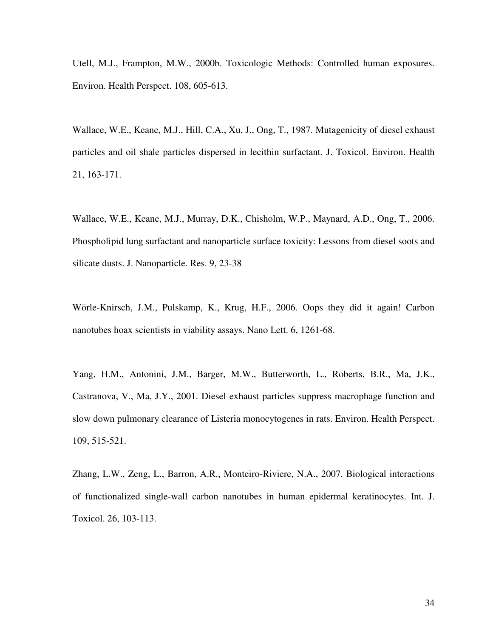Utell, M.J., Frampton, M.W., 2000b. Toxicologic Methods: Controlled human exposures. Environ. Health Perspect. 108, 605-613.

Wallace, W.E., Keane, M.J., Hill, C.A., Xu, J., Ong, T., 1987. Mutagenicity of diesel exhaust particles and oil shale particles dispersed in lecithin surfactant. J. Toxicol. Environ. Health 21, 163-171.

Wallace, W.E., Keane, M.J., Murray, D.K., Chisholm, W.P., Maynard, A.D., Ong, T., 2006. Phospholipid lung surfactant and nanoparticle surface toxicity: Lessons from diesel soots and silicate dusts. J. Nanoparticle. Res. 9, 23-38

Wörle-Knirsch, J.M., Pulskamp, K., Krug, H.F., 2006. Oops they did it again! Carbon nanotubes hoax scientists in viability assays. Nano Lett. 6, 1261-68.

Yang, H.M., Antonini, J.M., Barger, M.W., Butterworth, L., Roberts, B.R., Ma, J.K., Castranova, V., Ma, J.Y., 2001. Diesel exhaust particles suppress macrophage function and slow down pulmonary clearance of Listeria monocytogenes in rats. Environ. Health Perspect. 109, 515-521.

Zhang, L.W., Zeng, L., Barron, A.R., Monteiro-Riviere, N.A., 2007. Biological interactions of functionalized single-wall carbon nanotubes in human epidermal keratinocytes. Int. J. Toxicol. 26, 103-113.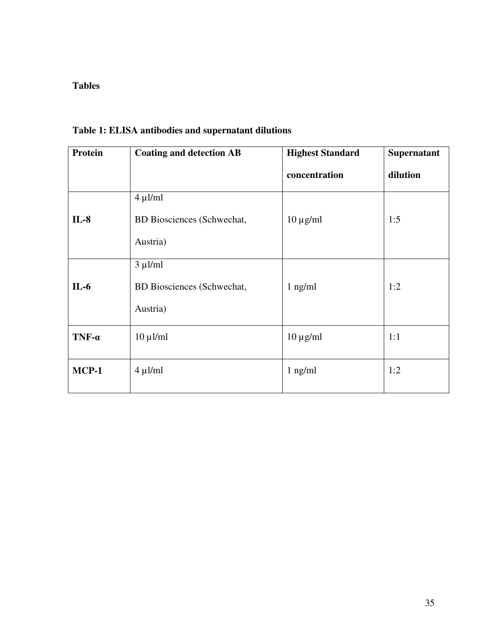# **Tables**

| <b>Protein</b> | <b>Coating and detection AB</b> | <b>Highest Standard</b> | Supernatant |
|----------------|---------------------------------|-------------------------|-------------|
|                |                                 | concentration           | dilution    |
|                | $4 \mu$ l/ml                    |                         |             |
| $IL-8$         | BD Biosciences (Schwechat,      | $10 \mu g/ml$           | 1:5         |
|                | Austria)                        |                         |             |
|                | $3 \mu$ l/ml                    |                         |             |
| $IL-6$         | BD Biosciences (Schwechat,      | $1$ ng/ml               | 1:2         |
|                | Austria)                        |                         |             |
| $TNF-\alpha$   | $10 \mu$ l/ml                   | $10 \mu g/ml$           | 1:1         |
|                |                                 |                         |             |
| MCP-1          | $4 \mu$ l/ml                    | $1$ ng/ml               | 1:2         |
|                |                                 |                         |             |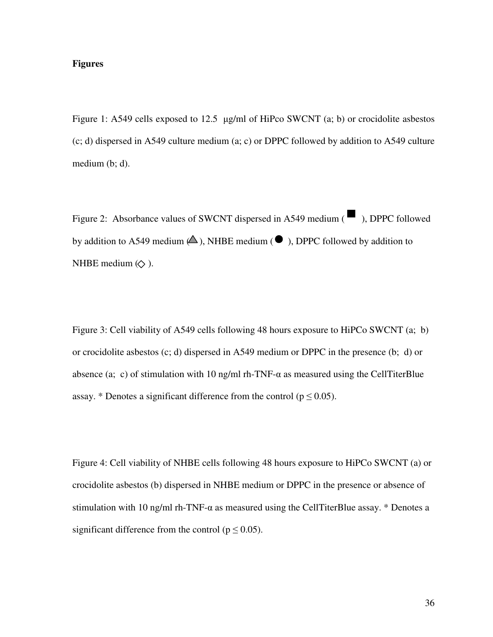#### **Figures**

Figure 1: A549 cells exposed to 12.5 µg/ml of HiPco SWCNT (a; b) or crocidolite asbestos (c; d) dispersed in A549 culture medium (a; c) or DPPC followed by addition to A549 culture medium (b; d).

Figure 2: Absorbance values of SWCNT dispersed in A549 medium ( $\blacksquare$ ), DPPC followed by addition to A549 medium  $($  ), NHBE medium ( $($  ), DPPC followed by addition to NHBE medium  $\Diamond$ ).

Figure 3: Cell viability of A549 cells following 48 hours exposure to HiPCo SWCNT (a; b) or crocidolite asbestos (c; d) dispersed in A549 medium or DPPC in the presence (b; d) or absence (a; c) of stimulation with 10 ng/ml rh-TNF- $\alpha$  as measured using the CellTiterBlue assay. \* Denotes a significant difference from the control ( $p \le 0.05$ ).

Figure 4: Cell viability of NHBE cells following 48 hours exposure to HiPCo SWCNT (a) or crocidolite asbestos (b) dispersed in NHBE medium or DPPC in the presence or absence of stimulation with 10 ng/ml rh-TNF- $\alpha$  as measured using the CellTiterBlue assay. \* Denotes a significant difference from the control ( $p \le 0.05$ ).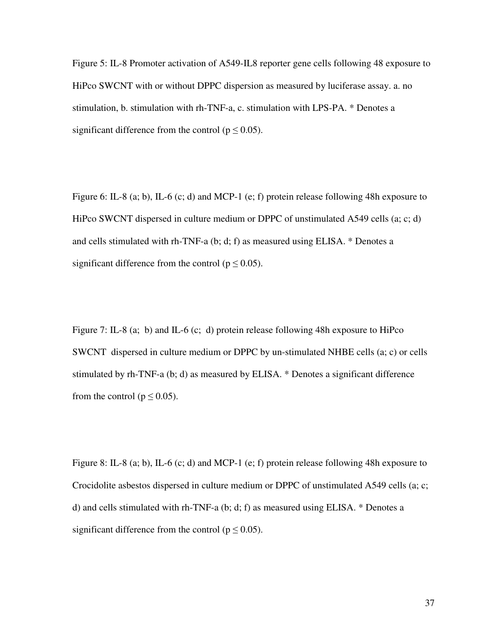Figure 5: IL-8 Promoter activation of A549-IL8 reporter gene cells following 48 exposure to HiPco SWCNT with or without DPPC dispersion as measured by luciferase assay. a. no stimulation, b. stimulation with rh-TNF-a, c. stimulation with LPS-PA. \* Denotes a significant difference from the control ( $p \le 0.05$ ).

Figure 6: IL-8 (a; b), IL-6 (c; d) and MCP-1 (e; f) protein release following 48h exposure to HiPco SWCNT dispersed in culture medium or DPPC of unstimulated A549 cells (a; c; d) and cells stimulated with rh-TNF-a (b; d; f) as measured using ELISA. \* Denotes a significant difference from the control ( $p \le 0.05$ ).

Figure 7: IL-8 (a; b) and IL-6 (c; d) protein release following 48h exposure to HiPco SWCNT dispersed in culture medium or DPPC by un-stimulated NHBE cells (a; c) or cells stimulated by rh-TNF-a (b; d) as measured by ELISA. \* Denotes a significant difference from the control ( $p \le 0.05$ ).

Figure 8: IL-8 (a; b), IL-6 (c; d) and MCP-1 (e; f) protein release following 48h exposure to Crocidolite asbestos dispersed in culture medium or DPPC of unstimulated A549 cells (a; c; d) and cells stimulated with rh-TNF-a (b; d; f) as measured using ELISA. \* Denotes a significant difference from the control ( $p \le 0.05$ ).